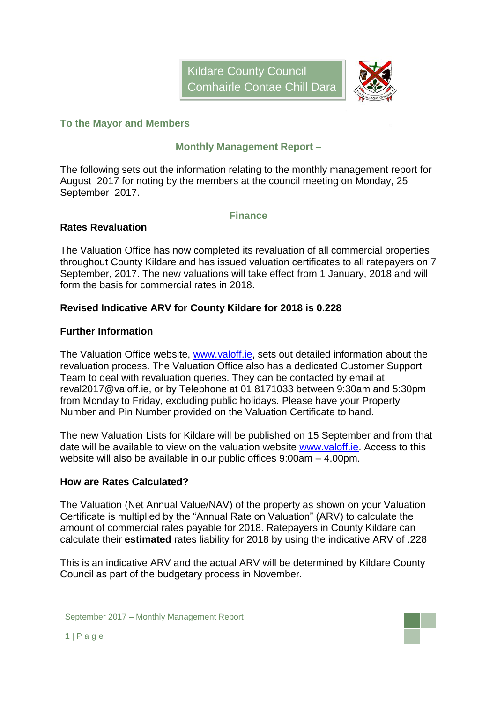

#### **To the Mayor and Members**

### **Monthly Management Report –**

The following sets out the information relating to the monthly management report for August 2017 for noting by the members at the council meeting on Monday, 25 September 2017.

#### **Finance**

### **Rates Revaluation**

The Valuation Office has now completed its revaluation of all commercial properties throughout County Kildare and has issued valuation certificates to all ratepayers on 7 September, 2017. The new valuations will take effect from 1 January, 2018 and will form the basis for commercial rates in 2018.

### **Revised Indicative ARV for County Kildare for 2018 is 0.228**

#### **Further Information**

The Valuation Office website, [www.valoff.ie,](http://www.valoff.ie/) sets out detailed information about the revaluation process. The Valuation Office also has a dedicated Customer Support Team to deal with revaluation queries. They can be contacted by email at reval2017@valoff.ie, or by Telephone at 01 8171033 between 9:30am and 5:30pm from Monday to Friday, excluding public holidays. Please have your Property Number and Pin Number provided on the Valuation Certificate to hand.

The new Valuation Lists for Kildare will be published on 15 September and from that date will be available to view on the valuation website [www.valoff.ie.](http://www.valoff.ie/) Access to this website will also be available in our public offices 9:00am – 4.00pm.

#### **How are Rates Calculated?**

The Valuation (Net Annual Value/NAV) of the property as shown on your Valuation Certificate is multiplied by the "Annual Rate on Valuation" (ARV) to calculate the amount of commercial rates payable for 2018. Ratepayers in County Kildare can calculate their **estimated** rates liability for 2018 by using the indicative ARV of .228

This is an indicative ARV and the actual ARV will be determined by Kildare County Council as part of the budgetary process in November.

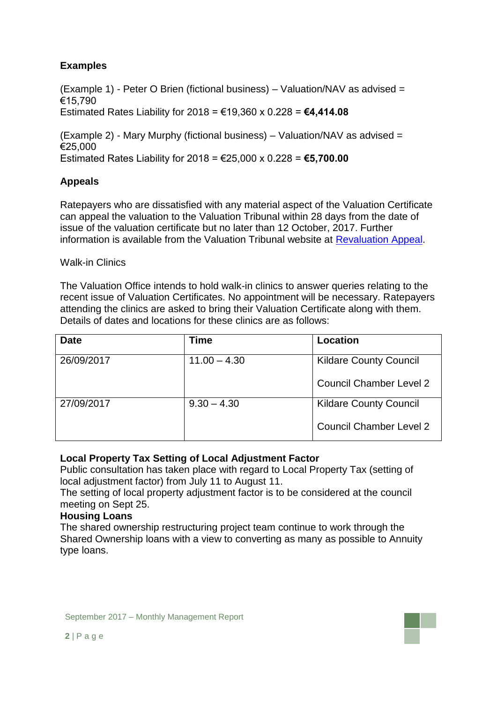# **Examples**

(Example 1) - Peter O Brien (fictional business) – Valuation/NAV as advised = €15,790

Estimated Rates Liability for 2018 = €19,360 x 0.228 = **€4,414.08**

(Example 2) - Mary Murphy (fictional business) – Valuation/NAV as advised = €25,000 Estimated Rates Liability for 2018 = €25,000 x 0.228 = **€5,700.00**

### **Appeals**

Ratepayers who are dissatisfied with any material aspect of the Valuation Certificate can appeal the valuation to the Valuation Tribunal within 28 days from the date of issue of the valuation certificate but no later than 12 October, 2017. Further information is available from the Valuation Tribunal website at [Revaluation Appeal.](http://www.valuationtribunal.ie/revaluation-appeals.asp)

### Walk-in Clinics

The Valuation Office intends to hold walk-in clinics to answer queries relating to the recent issue of Valuation Certificates. No appointment will be necessary. Ratepayers attending the clinics are asked to bring their Valuation Certificate along with them. Details of dates and locations for these clinics are as follows:

| <b>Date</b> | Time           | Location                       |
|-------------|----------------|--------------------------------|
| 26/09/2017  | $11.00 - 4.30$ | <b>Kildare County Council</b>  |
|             |                | <b>Council Chamber Level 2</b> |
| 27/09/2017  | $9.30 - 4.30$  | <b>Kildare County Council</b>  |
|             |                | <b>Council Chamber Level 2</b> |

### **Local Property Tax Setting of Local Adjustment Factor**

Public consultation has taken place with regard to Local Property Tax (setting of local adjustment factor) from July 11 to August 11.

The setting of local property adjustment factor is to be considered at the council meeting on Sept 25.

#### **Housing Loans**

The shared ownership restructuring project team continue to work through the Shared Ownership loans with a view to converting as many as possible to Annuity type loans.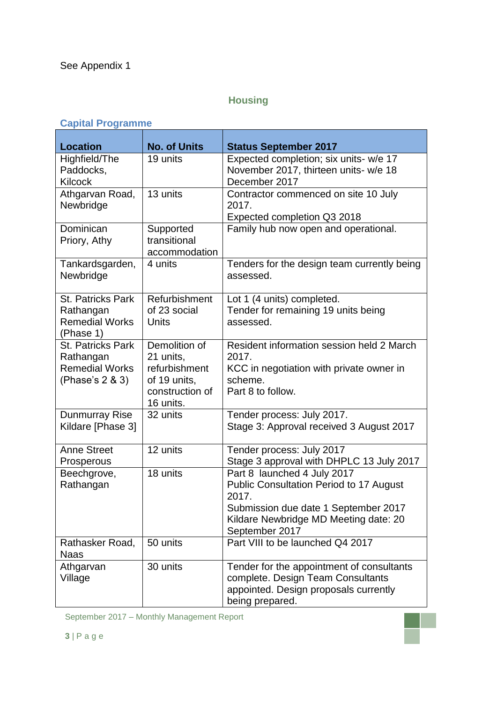# **Housing**

# **Capital Programme**

| <b>Location</b>                                                                   | <b>No. of Units</b>                                                                         | <b>Status September 2017</b>                                                                                                                                                              |
|-----------------------------------------------------------------------------------|---------------------------------------------------------------------------------------------|-------------------------------------------------------------------------------------------------------------------------------------------------------------------------------------------|
| Highfield/The<br>Paddocks,<br>Kilcock                                             | 19 units                                                                                    | Expected completion; six units- w/e 17<br>November 2017, thirteen units- w/e 18<br>December 2017                                                                                          |
| Athgarvan Road,<br>Newbridge                                                      | 13 units                                                                                    | Contractor commenced on site 10 July<br>2017.<br>Expected completion Q3 2018                                                                                                              |
| Dominican<br>Priory, Athy                                                         | Supported<br>transitional<br>accommodation                                                  | Family hub now open and operational.                                                                                                                                                      |
| Tankardsgarden,<br>Newbridge                                                      | 4 units                                                                                     | Tenders for the design team currently being<br>assessed.                                                                                                                                  |
| <b>St. Patricks Park</b><br>Rathangan<br><b>Remedial Works</b><br>(Phase 1)       | Refurbishment<br>of 23 social<br>Units                                                      | Lot 1 (4 units) completed.<br>Tender for remaining 19 units being<br>assessed.                                                                                                            |
| <b>St. Patricks Park</b><br>Rathangan<br><b>Remedial Works</b><br>(Phase's 2 & 3) | Demolition of<br>21 units,<br>refurbishment<br>of 19 units,<br>construction of<br>16 units. | Resident information session held 2 March<br>2017.<br>KCC in negotiation with private owner in<br>scheme.<br>Part 8 to follow.                                                            |
| <b>Dunmurray Rise</b><br>Kildare [Phase 3]                                        | 32 units                                                                                    | Tender process: July 2017.<br>Stage 3: Approval received 3 August 2017                                                                                                                    |
| <b>Anne Street</b><br>Prosperous                                                  | 12 units                                                                                    | Tender process: July 2017<br>Stage 3 approval with DHPLC 13 July 2017                                                                                                                     |
| Beechgrove,<br>Rathangan                                                          | 18 units                                                                                    | Part 8 launched 4 July 2017<br><b>Public Consultation Period to 17 August</b><br>2017.<br>Submission due date 1 September 2017<br>Kildare Newbridge MD Meeting date: 20<br>September 2017 |
| Rathasker Road,<br><b>Naas</b>                                                    | 50 units                                                                                    | Part VIII to be launched Q4 2017                                                                                                                                                          |
| Athgarvan<br>Village                                                              | 30 units                                                                                    | Tender for the appointment of consultants<br>complete. Design Team Consultants<br>appointed. Design proposals currently<br>being prepared.                                                |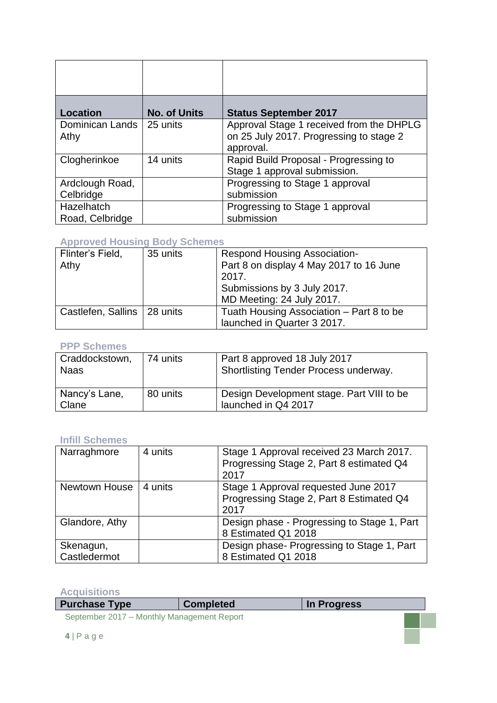| <b>Location</b>               | <b>No. of Units</b> | <b>Status September 2017</b>                                                                     |
|-------------------------------|---------------------|--------------------------------------------------------------------------------------------------|
| Dominican Lands<br>Athy       | 25 units            | Approval Stage 1 received from the DHPLG<br>on 25 July 2017. Progressing to stage 2<br>approval. |
| Clogherinkoe                  | 14 units            | Rapid Build Proposal - Progressing to<br>Stage 1 approval submission.                            |
| Ardclough Road,<br>Celbridge  |                     | Progressing to Stage 1 approval<br>submission                                                    |
| Hazelhatch<br>Road, Celbridge |                     | Progressing to Stage 1 approval<br>submission                                                    |

### **Approved Housing Body Schemes**

| Flinter's Field,              | 35 units | <b>Respond Housing Association-</b>      |  |
|-------------------------------|----------|------------------------------------------|--|
| Athy                          |          | Part 8 on display 4 May 2017 to 16 June  |  |
|                               |          | 2017.                                    |  |
|                               |          | Submissions by 3 July 2017.              |  |
|                               |          | MD Meeting: 24 July 2017.                |  |
| Castlefen, Sallins   28 units |          | Tuath Housing Association - Part 8 to be |  |
|                               |          | launched in Quarter 3 2017.              |  |

### **PPP Schemes**

| Craddockstown,<br><b>Naas</b> | 74 units | Part 8 approved 18 July 2017<br>Shortlisting Tender Process underway. |
|-------------------------------|----------|-----------------------------------------------------------------------|
| Nancy's Lane,<br>Clane        | 80 units | Design Development stage. Part VIII to be<br>launched in Q4 2017      |

#### **Infill Schemes**

| Narraghmore               | 4 units | Stage 1 Approval received 23 March 2017.<br>Progressing Stage 2, Part 8 estimated Q4<br>2017 |
|---------------------------|---------|----------------------------------------------------------------------------------------------|
| Newtown House             | 4 units | Stage 1 Approval requested June 2017<br>Progressing Stage 2, Part 8 Estimated Q4<br>2017     |
| Glandore, Athy            |         | Design phase - Progressing to Stage 1, Part<br>8 Estimated Q1 2018                           |
| Skenagun,<br>Castledermot |         | Design phase-Progressing to Stage 1, Part<br>8 Estimated Q1 2018                             |

**Acquisitions**

| <b>Purchase Type</b>                       | <b>Completed</b> | In Progress |  |
|--------------------------------------------|------------------|-------------|--|
| September 2017 - Monthly Management Report |                  |             |  |
|                                            |                  |             |  |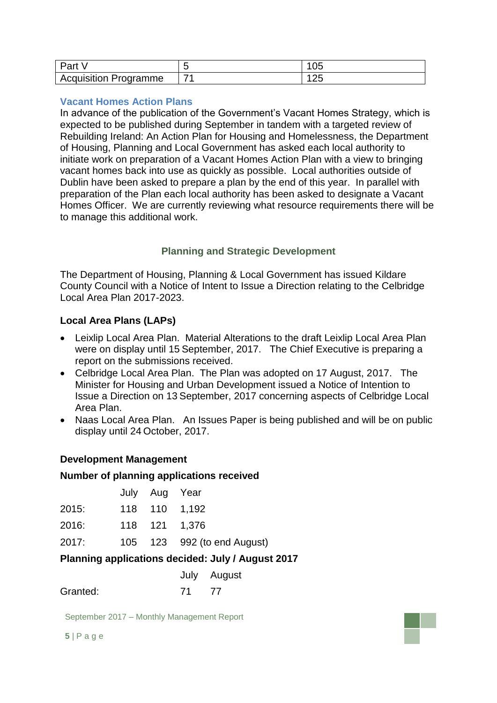| Part                         |                          | vJ |
|------------------------------|--------------------------|----|
| <b>Acquisition Programme</b> | $\overline{\phantom{a}}$ | ∠J |

#### **Vacant Homes Action Plans**

In advance of the publication of the Government's Vacant Homes Strategy, which is expected to be published during September in tandem with a targeted review of Rebuilding Ireland: An Action Plan for Housing and Homelessness, the Department of Housing, Planning and Local Government has asked each local authority to initiate work on preparation of a Vacant Homes Action Plan with a view to bringing vacant homes back into use as quickly as possible. Local authorities outside of Dublin have been asked to prepare a plan by the end of this year. In parallel with preparation of the Plan each local authority has been asked to designate a Vacant Homes Officer. We are currently reviewing what resource requirements there will be to manage this additional work.

### **Planning and Strategic Development**

The Department of Housing, Planning & Local Government has issued Kildare County Council with a Notice of Intent to Issue a Direction relating to the Celbridge Local Area Plan 2017-2023.

### **Local Area Plans (LAPs)**

- Leixlip Local Area Plan. Material Alterations to the draft Leixlip Local Area Plan were on display until 15 September, 2017. The Chief Executive is preparing a report on the submissions received.
- Celbridge Local Area Plan. The Plan was adopted on 17 August, 2017. The Minister for Housing and Urban Development issued a Notice of Intention to Issue a Direction on 13 September, 2017 concerning aspects of Celbridge Local Area Plan.
- Naas Local Area Plan. An Issues Paper is being published and will be on public display until 24 October, 2017.

### **Development Management**

#### **Number of planning applications received**

|       | July Aug Year |                             |
|-------|---------------|-----------------------------|
| 2015: |               | 118 110 1,192               |
| 2016: |               | 118 121 1,376               |
| 2017: |               | 105 123 992 (to end August) |
|       |               |                             |

### **Planning applications decided: July / August 2017**

| July | August |
|------|--------|
|------|--------|

Granted: 71 77

September 2017 – Monthly Management Report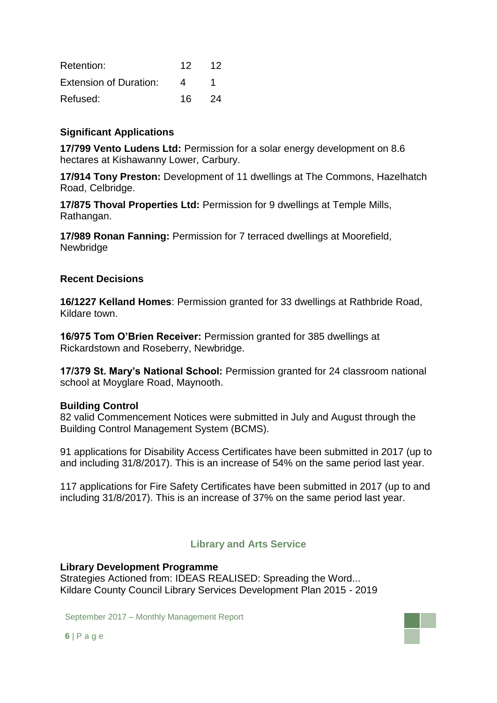| Retention:                    | 12. | 12  |
|-------------------------------|-----|-----|
| <b>Extension of Duration:</b> | 4   |     |
| Refused:                      | 16. | -24 |

### **Significant Applications**

**17/799 Vento Ludens Ltd:** Permission for a solar energy development on 8.6 hectares at Kishawanny Lower, Carbury.

**17/914 Tony Preston:** Development of 11 dwellings at The Commons, Hazelhatch Road, Celbridge.

**17/875 Thoval Properties Ltd:** Permission for 9 dwellings at Temple Mills, Rathangan.

**17/989 Ronan Fanning:** Permission for 7 terraced dwellings at Moorefield, **Newbridge** 

### **Recent Decisions**

**16/1227 Kelland Homes**: Permission granted for 33 dwellings at Rathbride Road, Kildare town.

**16/975 Tom O'Brien Receiver:** Permission granted for 385 dwellings at Rickardstown and Roseberry, Newbridge.

**17/379 St. Mary's National School:** Permission granted for 24 classroom national school at Moyglare Road, Maynooth.

#### **Building Control**

82 valid Commencement Notices were submitted in July and August through the Building Control Management System (BCMS).

91 applications for Disability Access Certificates have been submitted in 2017 (up to and including 31/8/2017). This is an increase of 54% on the same period last year.

117 applications for Fire Safety Certificates have been submitted in 2017 (up to and including 31/8/2017). This is an increase of 37% on the same period last year.

### **Library and Arts Service**

#### **Library Development Programme**

Strategies Actioned from: IDEAS REALISED: Spreading the Word... Kildare County Council Library Services Development Plan 2015 - 2019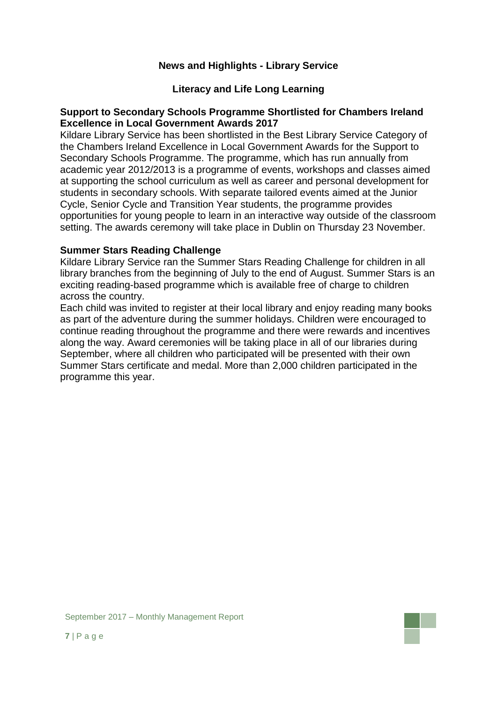### **News and Highlights - Library Service**

#### **Literacy and Life Long Learning**

#### **Support to Secondary Schools Programme Shortlisted for Chambers Ireland Excellence in Local Government Awards 2017**

Kildare Library Service has been shortlisted in the Best Library Service Category of the Chambers Ireland Excellence in Local Government Awards for the Support to Secondary Schools Programme. The programme, which has run annually from academic year 2012/2013 is a programme of events, workshops and classes aimed at supporting the school curriculum as well as career and personal development for students in secondary schools. With separate tailored events aimed at the Junior Cycle, Senior Cycle and Transition Year students, the programme provides opportunities for young people to learn in an interactive way outside of the classroom setting. The awards ceremony will take place in Dublin on Thursday 23 November.

#### **Summer Stars Reading Challenge**

Kildare Library Service ran the Summer Stars Reading Challenge for children in all library branches from the beginning of July to the end of August. Summer Stars is an exciting reading-based programme which is available free of charge to children across the country.

Each child was invited to register at their local library and enjoy reading many books as part of the adventure during the summer holidays. Children were encouraged to continue reading throughout the programme and there were rewards and incentives along the way. Award ceremonies will be taking place in all of our libraries during September, where all children who participated will be presented with their own Summer Stars certificate and medal. More than 2,000 children participated in the programme this year.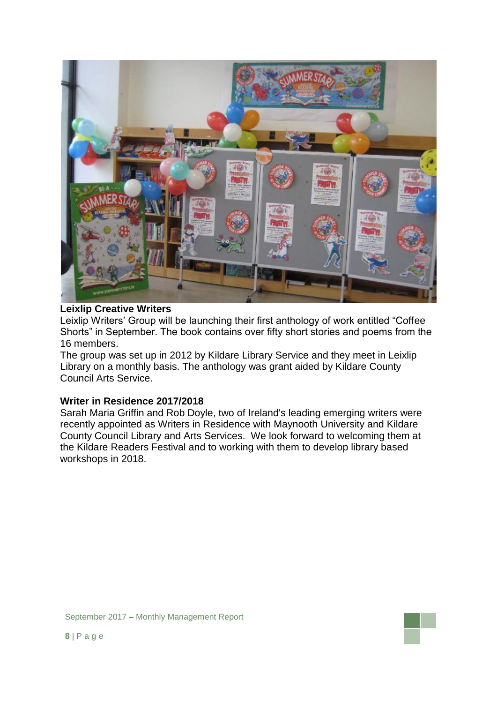

#### **Leixlip Creative Writers**

Leixlip Writers' Group will be launching their first anthology of work entitled "Coffee Shorts" in September. The book contains over fifty short stories and poems from the 16 members.

The group was set up in 2012 by Kildare Library Service and they meet in Leixlip Library on a monthly basis. The anthology was grant aided by Kildare County Council Arts Service.

#### **Writer in Residence 2017/2018**

Sarah Maria Griffin and Rob Doyle, two of Ireland's leading emerging writers were recently appointed as Writers in Residence with Maynooth University and Kildare County Council Library and Arts Services. We look forward to welcoming them at the Kildare Readers Festival and to working with them to develop library based workshops in 2018.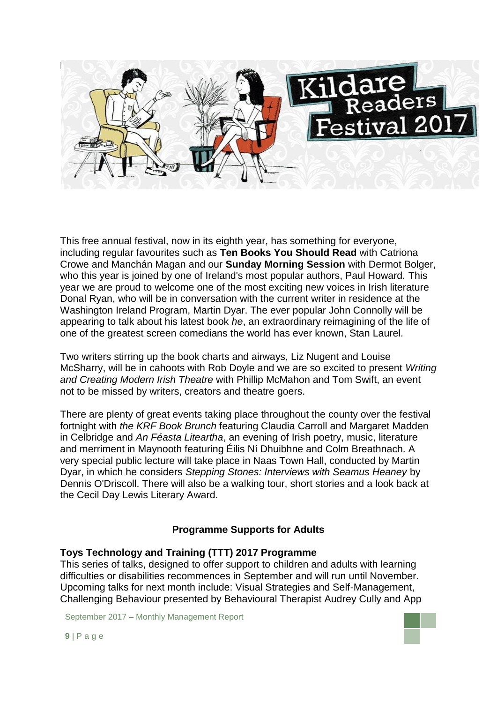

This free annual festival, now in its eighth year, has something for everyone, including regular favourites such as **Ten Books You Should Read** with Catriona Crowe and Manchán Magan and our **Sunday Morning Session** with Dermot Bolger, who this year is joined by one of Ireland's most popular authors, Paul Howard. This year we are proud to welcome one of the most exciting new voices in Irish literature Donal Ryan, who will be in conversation with the current writer in residence at the Washington Ireland Program, Martin Dyar. The ever popular John Connolly will be appearing to talk about his latest book *he*, an extraordinary reimagining of the life of one of the greatest screen comedians the world has ever known, Stan Laurel.

Two writers stirring up the book charts and airways, Liz Nugent and Louise McSharry, will be in cahoots with Rob Doyle and we are so excited to present *Writing and Creating Modern Irish Theatre* with Phillip McMahon and Tom Swift, an event not to be missed by writers, creators and theatre goers.

There are plenty of great events taking place throughout the county over the festival fortnight with *the KRF Book Brunch* featuring Claudia Carroll and Margaret Madden in Celbridge and *An Féasta Liteartha*, an evening of Irish poetry, music, literature and merriment in Maynooth featuring Éilis Ní Dhuibhne and Colm Breathnach. A very special public lecture will take place in Naas Town Hall, conducted by Martin Dyar, in which he considers *Stepping Stones: Interviews with Seamus Heaney* by Dennis O'Driscoll. There will also be a walking tour, short stories and a look back at the Cecil Day Lewis Literary Award.

### **Programme Supports for Adults**

#### **Toys Technology and Training (TTT) 2017 Programme**

This series of talks, designed to offer support to children and adults with learning difficulties or disabilities recommences in September and will run until November. Upcoming talks for next month include: Visual Strategies and Self-Management, Challenging Behaviour presented by Behavioural Therapist Audrey Cully and App

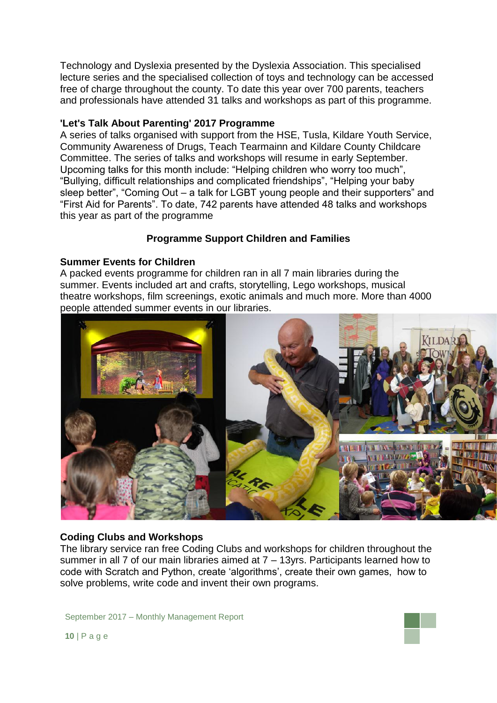Technology and Dyslexia presented by the Dyslexia Association. This specialised lecture series and the specialised collection of toys and technology can be accessed free of charge throughout the county. To date this year over 700 parents, teachers and professionals have attended 31 talks and workshops as part of this programme.

#### **'Let's Talk About Parenting' 2017 Programme**

A series of talks organised with support from the HSE, Tusla, Kildare Youth Service, Community Awareness of Drugs, Teach Tearmainn and Kildare County Childcare Committee. The series of talks and workshops will resume in early September. Upcoming talks for this month include: "Helping children who worry too much", "Bullying, difficult relationships and complicated friendships", "Helping your baby sleep better", "Coming Out – a talk for LGBT young people and their supporters" and "First Aid for Parents". To date, 742 parents have attended 48 talks and workshops this year as part of the programme

### **Programme Support Children and Families**

#### **Summer Events for Children**

A packed events programme for children ran in all 7 main libraries during the summer. Events included art and crafts, storytelling, Lego workshops, musical theatre workshops, film screenings, exotic animals and much more. More than 4000 people attended summer events in our libraries.



#### **Coding Clubs and Workshops**

The library service ran free Coding Clubs and workshops for children throughout the summer in all 7 of our main libraries aimed at 7 – 13yrs. Participants learned how to code with Scratch and Python, create 'algorithms', create their own games, how to solve problems, write code and invent their own programs.

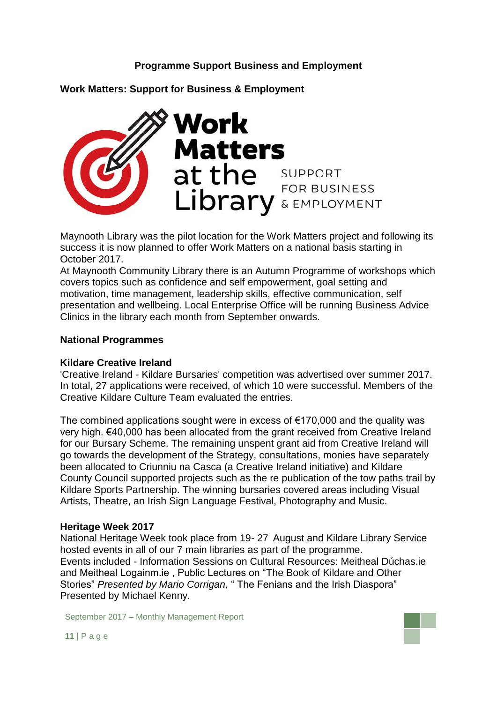### **Programme Support Business and Employment**



**Work Matters: Support for Business & Employment**

Maynooth Library was the pilot location for the Work Matters project and following its success it is now planned to offer Work Matters on a national basis starting in October 2017.

At Maynooth Community Library there is an Autumn Programme of workshops which covers topics such as confidence and self empowerment, goal setting and motivation, time management, leadership skills, effective communication, self presentation and wellbeing. Local Enterprise Office will be running Business Advice Clinics in the library each month from September onwards.

#### **National Programmes**

#### **Kildare Creative Ireland**

'Creative Ireland - Kildare Bursaries' competition was advertised over summer 2017. In total, 27 applications were received, of which 10 were successful. Members of the Creative Kildare Culture Team evaluated the entries.

The combined applications sought were in excess of  $€170,000$  and the quality was very high. €40,000 has been allocated from the grant received from Creative Ireland for our Bursary Scheme. The remaining unspent grant aid from Creative Ireland will go towards the development of the Strategy, consultations, monies have separately been allocated to Criunniu na Casca (a Creative Ireland initiative) and Kildare County Council supported projects such as the re publication of the tow paths trail by Kildare Sports Partnership. The winning bursaries covered areas including Visual Artists, Theatre, an Irish Sign Language Festival, Photography and Music.

#### **Heritage Week 2017**

National Heritage Week took place from 19- 27 August and Kildare Library Service hosted events in all of our 7 main libraries as part of the programme. Events included - Information Sessions on Cultural Resources: Meitheal Dúchas.ie and Meitheal Logainm.ie , Public Lectures on "The Book of Kildare and Other Stories" *Presented by Mario Corrigan,* " The Fenians and the Irish Diaspora" Presented by Michael Kenny.

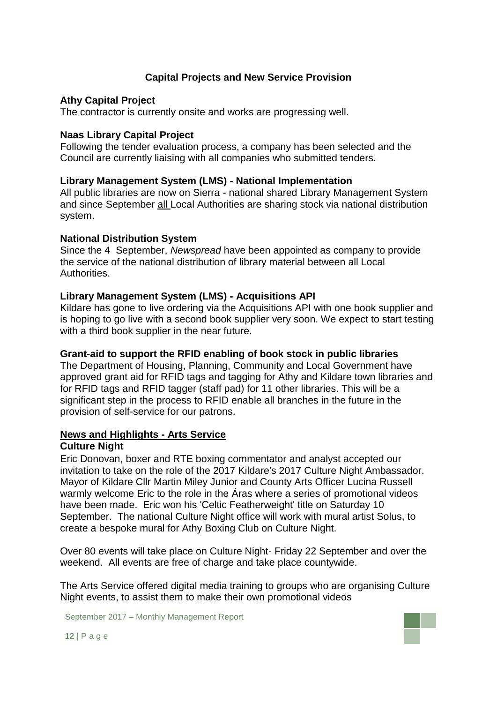### **Capital Projects and New Service Provision**

#### **Athy Capital Project**

The contractor is currently onsite and works are progressing well.

#### **Naas Library Capital Project**

Following the tender evaluation process, a company has been selected and the Council are currently liaising with all companies who submitted tenders.

#### **Library Management System (LMS) - National Implementation**

All public libraries are now on Sierra - national shared Library Management System and since September all Local Authorities are sharing stock via national distribution system.

#### **National Distribution System**

Since the 4 September, *Newspread* have been appointed as company to provide the service of the national distribution of library material between all Local Authorities.

#### **Library Management System (LMS) - Acquisitions API**

Kildare has gone to live ordering via the Acquisitions API with one book supplier and is hoping to go live with a second book supplier very soon. We expect to start testing with a third book supplier in the near future.

#### **Grant-aid to support the RFID enabling of book stock in public libraries**

The Department of Housing, Planning, Community and Local Government have approved grant aid for RFID tags and tagging for Athy and Kildare town libraries and for RFID tags and RFID tagger (staff pad) for 11 other libraries. This will be a significant step in the process to RFID enable all branches in the future in the provision of self-service for our patrons.

#### **News and Highlights - Arts Service**

#### **Culture Night**

Eric Donovan, boxer and RTE boxing commentator and analyst accepted our invitation to take on the role of the 2017 Kildare's 2017 Culture Night Ambassador. Mayor of Kildare Cllr [Martin Miley Junior](https://www.facebook.com/martin.mileyjunior?fref=mentions) and County Arts Officer Lucina Russell warmly welcome Eric to the role in the Áras where a series of promotional videos have been made. Eric won his 'Celtic Featherweight' title on Saturday 10 September. The national Culture Night office will work with mural artist Solus, to create a bespoke mural for Athy Boxing Club on Culture Night.

Over 80 events will take place on Culture Night- Friday 22 September and over the weekend. All events are free of charge and take place countywide.

The Arts Service offered digital media training to groups who are organising Culture Night events, to assist them to make their own promotional videos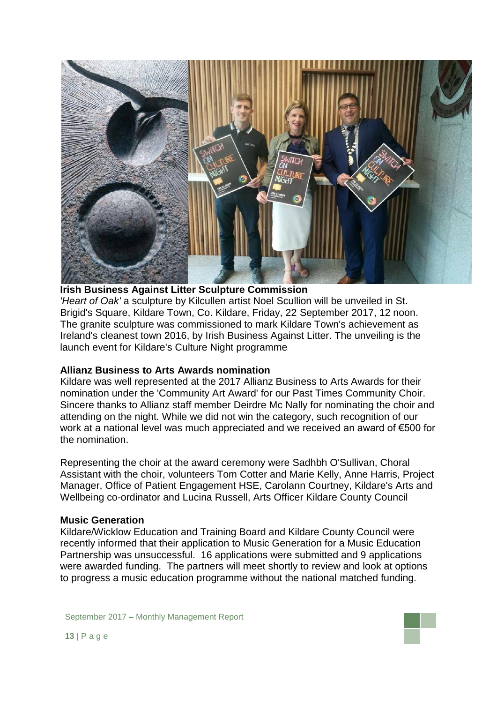

**Irish Business Against Litter Sculpture Commission** *'Heart of Oak'* a sculpture by Kilcullen artist Noel Scullion will be unveiled in St. Brigid's Square, Kildare Town, Co. Kildare, Friday, 22 September 2017, 12 noon. The granite sculpture was commissioned to mark Kildare Town's achievement as Ireland's cleanest town 2016, by Irish Business Against Litter. The unveiling is the launch event for Kildare's Culture Night programme

#### **Allianz Business to Arts Awards nomination**

Kildare was well represented at the 2017 Allianz Business to Arts Awards for their nomination under the 'Community Art Award' for our Past Times Community Choir. Sincere thanks to Allianz staff member Deirdre Mc Nally for nominating the choir and attending on the night. While we did not win the category, such recognition of our work at a national level was much appreciated and we received an award of €500 for the nomination.

Representing the choir at the award ceremony were Sadhbh O'Sullivan, Choral Assistant with the choir, volunteers Tom Cotter and Marie Kelly, Anne Harris, Project Manager, Office of Patient Engagement HSE, Carolann Courtney, Kildare's Arts and Wellbeing co-ordinator and Lucina Russell, Arts Officer Kildare County Council

#### **Music Generation**

Kildare/Wicklow Education and Training Board and Kildare County Council were recently informed that their application to Music Generation for a Music Education Partnership was unsuccessful. 16 applications were submitted and 9 applications were awarded funding. The partners will meet shortly to review and look at options to progress a music education programme without the national matched funding.

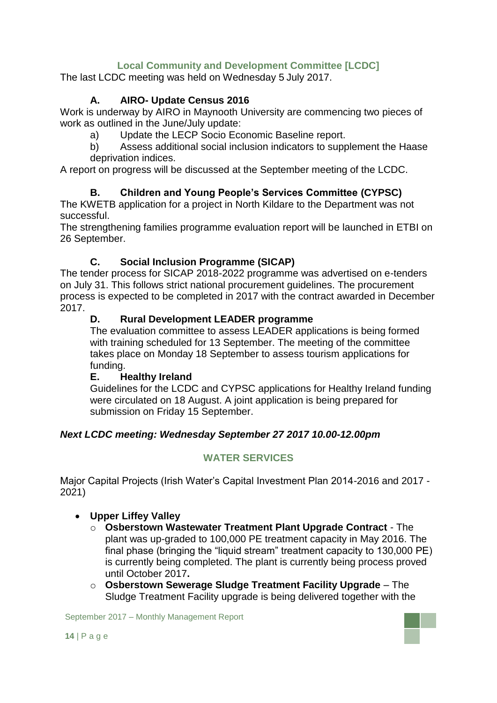# **Local Community and Development Committee [LCDC]**

The last LCDC meeting was held on Wednesday 5 July 2017.

### **A. AIRO- Update Census 2016**

Work is underway by AIRO in Maynooth University are commencing two pieces of work as outlined in the June/July update:

a) Update the LECP Socio Economic Baseline report.

b) Assess additional social inclusion indicators to supplement the Haase deprivation indices.

A report on progress will be discussed at the September meeting of the LCDC.

### **B. Children and Young People's Services Committee (CYPSC)**

The KWETB application for a project in North Kildare to the Department was not successful.

The strengthening families programme evaluation report will be launched in ETBI on 26 September.

### **C. Social Inclusion Programme (SICAP)**

The tender process for SICAP 2018-2022 programme was advertised on e-tenders on July 31. This follows strict national procurement guidelines. The procurement process is expected to be completed in 2017 with the contract awarded in December 2017.

### **D. Rural Development LEADER programme**

The evaluation committee to assess LEADER applications is being formed with training scheduled for 13 September. The meeting of the committee takes place on Monday 18 September to assess tourism applications for funding.

#### **E. Healthy Ireland**

Guidelines for the LCDC and CYPSC applications for Healthy Ireland funding were circulated on 18 August. A joint application is being prepared for submission on Friday 15 September.

### *Next LCDC meeting: Wednesday September 27 2017 10.00-12.00pm*

### **WATER SERVICES**

Major Capital Projects (Irish Water's Capital Investment Plan 2014-2016 and 2017 - 2021)

### **Upper Liffey Valley**

- o **Osberstown Wastewater Treatment Plant Upgrade Contract** The plant was up-graded to 100,000 PE treatment capacity in May 2016. The final phase (bringing the "liquid stream" treatment capacity to 130,000 PE) is currently being completed. The plant is currently being process proved until October 2017**.**
- o **Osberstown Sewerage Sludge Treatment Facility Upgrade** The Sludge Treatment Facility upgrade is being delivered together with the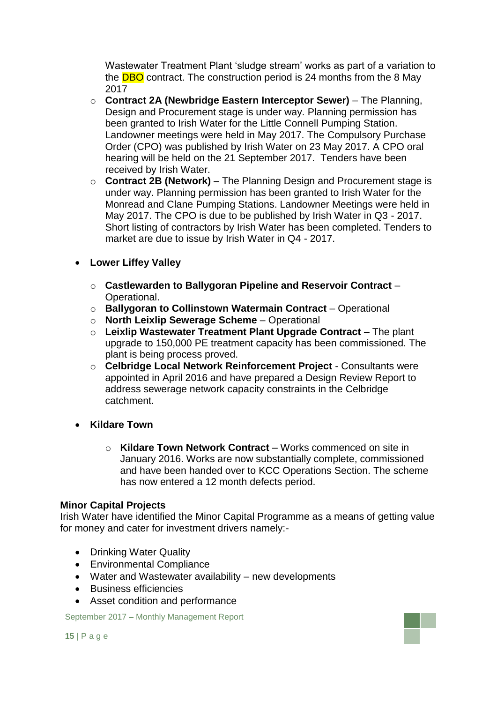Wastewater Treatment Plant 'sludge stream' works as part of a variation to the **DBO** contract. The construction period is 24 months from the 8 May 2017

- o **Contract 2A (Newbridge Eastern Interceptor Sewer)** The Planning, Design and Procurement stage is under way. Planning permission has been granted to Irish Water for the Little Connell Pumping Station. Landowner meetings were held in May 2017. The Compulsory Purchase Order (CPO) was published by Irish Water on 23 May 2017. A CPO oral hearing will be held on the 21 September 2017. Tenders have been received by Irish Water.
- o **Contract 2B (Network)** The Planning Design and Procurement stage is under way. Planning permission has been granted to Irish Water for the Monread and Clane Pumping Stations. Landowner Meetings were held in May 2017. The CPO is due to be published by Irish Water in Q3 - 2017. Short listing of contractors by Irish Water has been completed. Tenders to market are due to issue by Irish Water in Q4 - 2017.

### **Lower Liffey Valley**

- o **Castlewarden to Ballygoran Pipeline and Reservoir Contract** Operational.
- o **Ballygoran to Collinstown Watermain Contract** Operational
- o **North Leixlip Sewerage Scheme** Operational
- o **Leixlip Wastewater Treatment Plant Upgrade Contract** The plant upgrade to 150,000 PE treatment capacity has been commissioned. The plant is being process proved.
- o **Celbridge Local Network Reinforcement Project**  Consultants were appointed in April 2016 and have prepared a Design Review Report to address sewerage network capacity constraints in the Celbridge catchment.
- **Kildare Town** 
	- o **Kildare Town Network Contract** Works commenced on site in January 2016. Works are now substantially complete, commissioned and have been handed over to KCC Operations Section. The scheme has now entered a 12 month defects period.

#### **Minor Capital Projects**

Irish Water have identified the Minor Capital Programme as a means of getting value for money and cater for investment drivers namely:-

- Drinking Water Quality
- Environmental Compliance
- Water and Wastewater availability new developments
- Business efficiencies
- Asset condition and performance

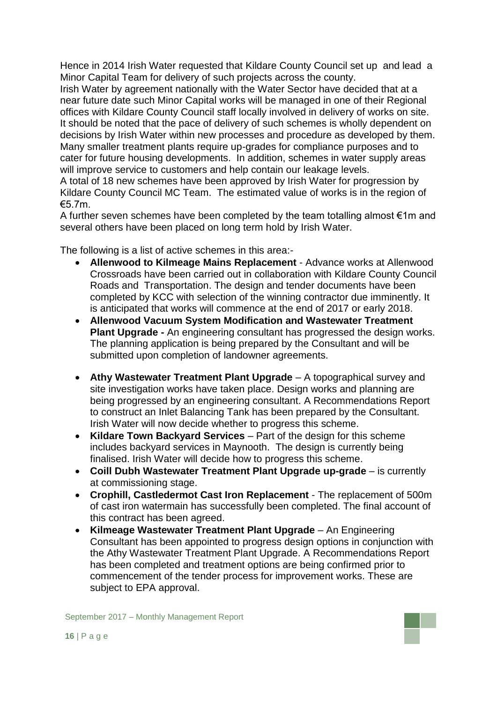Hence in 2014 Irish Water requested that Kildare County Council set up and lead a Minor Capital Team for delivery of such projects across the county.

Irish Water by agreement nationally with the Water Sector have decided that at a near future date such Minor Capital works will be managed in one of their Regional offices with Kildare County Council staff locally involved in delivery of works on site. It should be noted that the pace of delivery of such schemes is wholly dependent on decisions by Irish Water within new processes and procedure as developed by them. Many smaller treatment plants require up-grades for compliance purposes and to cater for future housing developments. In addition, schemes in water supply areas will improve service to customers and help contain our leakage levels.

A total of 18 new schemes have been approved by Irish Water for progression by Kildare County Council MC Team. The estimated value of works is in the region of €5.7m.

A further seven schemes have been completed by the team totalling almost €1m and several others have been placed on long term hold by Irish Water.

The following is a list of active schemes in this area:-

- **Allenwood to Kilmeage Mains Replacement** Advance works at Allenwood Crossroads have been carried out in collaboration with Kildare County Council Roads and Transportation. The design and tender documents have been completed by KCC with selection of the winning contractor due imminently. It is anticipated that works will commence at the end of 2017 or early 2018.
- **Allenwood Vacuum System Modification and Wastewater Treatment Plant Upgrade -** An engineering consultant has progressed the design works. The planning application is being prepared by the Consultant and will be submitted upon completion of landowner agreements.
- **Athy Wastewater Treatment Plant Upgrade** A topographical survey and site investigation works have taken place. Design works and planning are being progressed by an engineering consultant. A Recommendations Report to construct an Inlet Balancing Tank has been prepared by the Consultant. Irish Water will now decide whether to progress this scheme.
- **Kildare Town Backyard Services** Part of the design for this scheme includes backyard services in Maynooth. The design is currently being finalised. Irish Water will decide how to progress this scheme.
- **Coill Dubh Wastewater Treatment Plant Upgrade up-grade** is currently at commissioning stage.
- **Crophill, Castledermot Cast Iron Replacement**  The replacement of 500m of cast iron watermain has successfully been completed. The final account of this contract has been agreed.
- **Kilmeage Wastewater Treatment Plant Upgrade** An Engineering Consultant has been appointed to progress design options in conjunction with the Athy Wastewater Treatment Plant Upgrade. A Recommendations Report has been completed and treatment options are being confirmed prior to commencement of the tender process for improvement works. These are subject to EPA approval.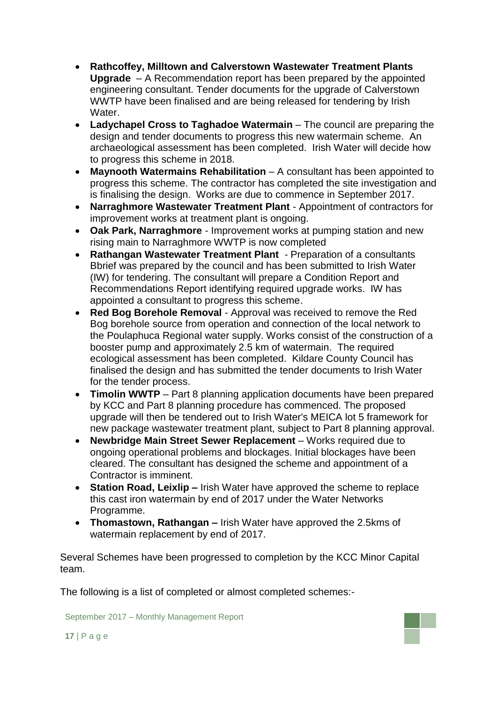- **Rathcoffey, Milltown and Calverstown Wastewater Treatment Plants Upgrade** – A Recommendation report has been prepared by the appointed engineering consultant. Tender documents for the upgrade of Calverstown WWTP have been finalised and are being released for tendering by Irish Water.
- **Ladychapel Cross to Taghadoe Watermain** The council are preparing the design and tender documents to progress this new watermain scheme. An archaeological assessment has been completed. Irish Water will decide how to progress this scheme in 2018.
- **Maynooth Watermains Rehabilitation** A consultant has been appointed to progress this scheme. The contractor has completed the site investigation and is finalising the design. Works are due to commence in September 2017.
- **Narraghmore Wastewater Treatment Plant**  Appointment of contractors for improvement works at treatment plant is ongoing.
- **Oak Park, Narraghmore**  Improvement works at pumping station and new rising main to Narraghmore WWTP is now completed
- **Rathangan Wastewater Treatment Plant**  Preparation of a consultants Bbrief was prepared by the council and has been submitted to Irish Water (IW) for tendering. The consultant will prepare a Condition Report and Recommendations Report identifying required upgrade works. IW has appointed a consultant to progress this scheme.
- **Red Bog Borehole Removal**  Approval was received to remove the Red Bog borehole source from operation and connection of the local network to the Poulaphuca Regional water supply. Works consist of the construction of a booster pump and approximately 2.5 km of watermain. The required ecological assessment has been completed. Kildare County Council has finalised the design and has submitted the tender documents to Irish Water for the tender process.
- **Timolin WWTP** Part 8 planning application documents have been prepared by KCC and Part 8 planning procedure has commenced. The proposed upgrade will then be tendered out to Irish Water's MEICA lot 5 framework for new package wastewater treatment plant, subject to Part 8 planning approval.
- **Newbridge Main Street Sewer Replacement** Works required due to ongoing operational problems and blockages. Initial blockages have been cleared. The consultant has designed the scheme and appointment of a Contractor is imminent.
- **Station Road, Leixlip –** Irish Water have approved the scheme to replace this cast iron watermain by end of 2017 under the Water Networks Programme.
- **Thomastown, Rathangan –** Irish Water have approved the 2.5kms of watermain replacement by end of 2017.

Several Schemes have been progressed to completion by the KCC Minor Capital team.

The following is a list of completed or almost completed schemes:-

September 2017 – Monthly Management Report

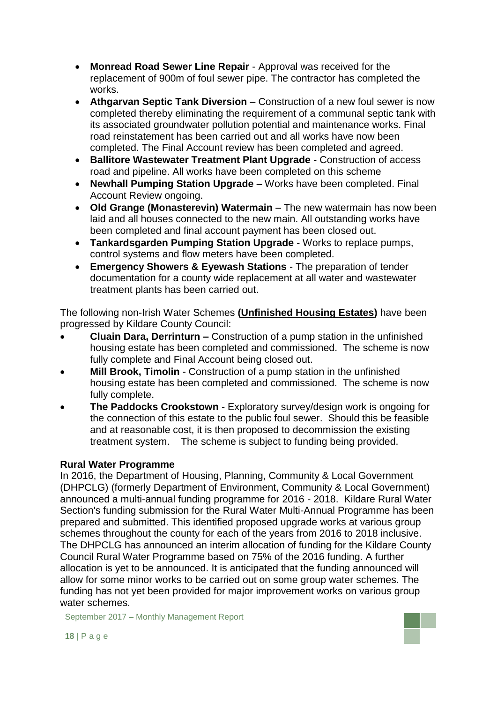- **Monread Road Sewer Line Repair**  Approval was received for the replacement of 900m of foul sewer pipe. The contractor has completed the works.
- **Athgarvan Septic Tank Diversion** Construction of a new foul sewer is now completed thereby eliminating the requirement of a communal septic tank with its associated groundwater pollution potential and maintenance works. Final road reinstatement has been carried out and all works have now been completed. The Final Account review has been completed and agreed.
- **Ballitore Wastewater Treatment Plant Upgrade** Construction of access road and pipeline. All works have been completed on this scheme
- **Newhall Pumping Station Upgrade –** Works have been completed. Final Account Review ongoing.
- **Old Grange (Monasterevin) Watermain** The new watermain has now been laid and all houses connected to the new main. All outstanding works have been completed and final account payment has been closed out.
- **Tankardsgarden Pumping Station Upgrade** Works to replace pumps, control systems and flow meters have been completed.
- **Emergency Showers & Eyewash Stations** The preparation of tender documentation for a county wide replacement at all water and wastewater treatment plants has been carried out.

The following non-Irish Water Schemes **(Unfinished Housing Estates)** have been progressed by Kildare County Council:

- **Cluain Dara, Derrinturn –** Construction of a pump station in the unfinished housing estate has been completed and commissioned. The scheme is now fully complete and Final Account being closed out.
- **Mill Brook, Timolin** Construction of a pump station in the unfinished housing estate has been completed and commissioned. The scheme is now fully complete.
- **The Paddocks Crookstown -** Exploratory survey/design work is ongoing for the connection of this estate to the public foul sewer. Should this be feasible and at reasonable cost, it is then proposed to decommission the existing treatment system. The scheme is subject to funding being provided.

### **Rural Water Programme**

In 2016, the Department of Housing, Planning, Community & Local Government (DHPCLG) (formerly Department of Environment, Community & Local Government) announced a multi-annual funding programme for 2016 - 2018. Kildare Rural Water Section's funding submission for the Rural Water Multi-Annual Programme has been prepared and submitted. This identified proposed upgrade works at various group schemes throughout the county for each of the years from 2016 to 2018 inclusive. The DHPCLG has announced an interim allocation of funding for the Kildare County Council Rural Water Programme based on 75% of the 2016 funding. A further allocation is yet to be announced. It is anticipated that the funding announced will allow for some minor works to be carried out on some group water schemes. The funding has not yet been provided for major improvement works on various group water schemes.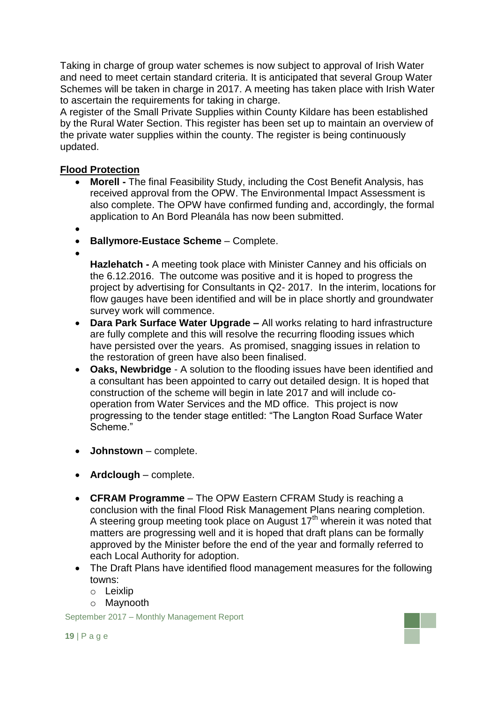Taking in charge of group water schemes is now subject to approval of Irish Water and need to meet certain standard criteria. It is anticipated that several Group Water Schemes will be taken in charge in 2017. A meeting has taken place with Irish Water to ascertain the requirements for taking in charge.

A register of the Small Private Supplies within County Kildare has been established by the Rural Water Section. This register has been set up to maintain an overview of the private water supplies within the county. The register is being continuously updated.

### **Flood Protection**

- **Morell -** The final Feasibility Study, including the Cost Benefit Analysis, has received approval from the OPW. The Environmental Impact Assessment is also complete. The OPW have confirmed funding and, accordingly, the formal application to An Bord Pleanála has now been submitted.
- $\bullet$
- **Ballymore-Eustace Scheme** Complete.
- $\bullet$

**Hazlehatch -** A meeting took place with Minister Canney and his officials on the 6.12.2016. The outcome was positive and it is hoped to progress the project by advertising for Consultants in Q2- 2017. In the interim, locations for flow gauges have been identified and will be in place shortly and groundwater survey work will commence.

- **Dara Park Surface Water Upgrade –** All works relating to hard infrastructure are fully complete and this will resolve the recurring flooding issues which have persisted over the years. As promised, snagging issues in relation to the restoration of green have also been finalised.
- **Oaks, Newbridge** A solution to the flooding issues have been identified and a consultant has been appointed to carry out detailed design. It is hoped that construction of the scheme will begin in late 2017 and will include cooperation from Water Services and the MD office. This project is now progressing to the tender stage entitled: "The Langton Road Surface Water Scheme."
- **Johnstown**  complete.
- **Ardclough** complete.
- **CFRAM Programme** The OPW Eastern CFRAM Study is reaching a conclusion with the final Flood Risk Management Plans nearing completion. A steering group meeting took place on August 17<sup>th</sup> wherein it was noted that matters are progressing well and it is hoped that draft plans can be formally approved by the Minister before the end of the year and formally referred to each Local Authority for adoption.
- The Draft Plans have identified flood management measures for the following towns:
	- o Leixlip
	- o Maynooth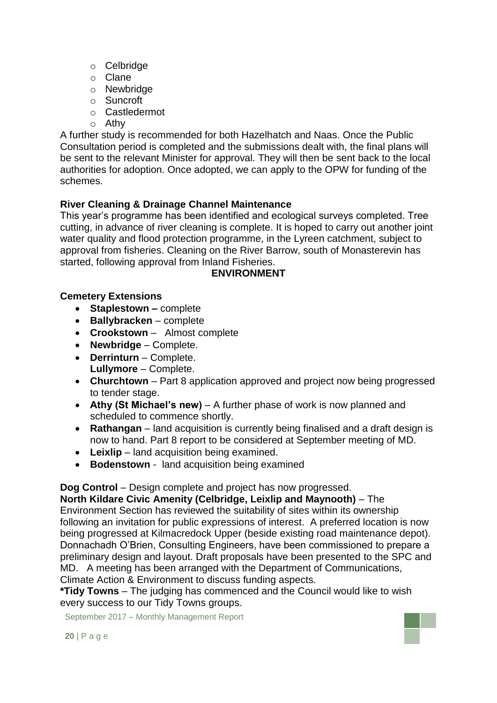- o Celbridge
- o Clane
- o Newbridge
- o Suncroft
- o Castledermot
- o Athy

A further study is recommended for both Hazelhatch and Naas. Once the Public Consultation period is completed and the submissions dealt with, the final plans will be sent to the relevant Minister for approval. They will then be sent back to the local authorities for adoption. Once adopted, we can apply to the OPW for funding of the schemes.

### **River Cleaning & Drainage Channel Maintenance**

This year's programme has been identified and ecological surveys completed. Tree cutting, in advance of river cleaning is complete. It is hoped to carry out another joint water quality and flood protection programme, in the Lyreen catchment, subject to approval from fisheries. Cleaning on the River Barrow, south of Monasterevin has started, following approval from Inland Fisheries.

### **ENVIRONMENT**

### **Cemetery Extensions**

- **Staplestown –** complete
- **Ballybracken** complete
- **Crookstown**  Almost complete
- **Newbridge**  Complete.
- **Derrinturn** Complete. **Lullymore** – Complete.
- **Churchtown** Part 8 application approved and project now being progressed to tender stage.
- **Athy (St Michael's new)** A further phase of work is now planned and scheduled to commence shortly.
- **Rathangan** land acquisition is currently being finalised and a draft design is now to hand. Part 8 report to be considered at September meeting of MD.
- **Leixlip** land acquisition being examined.
- **Bodenstown** land acquisition being examined

**Dog Control** – Design complete and project has now progressed.

**North Kildare Civic Amenity (Celbridge, Leixlip and Maynooth)** – The Environment Section has reviewed the suitability of sites within its ownership following an invitation for public expressions of interest. A preferred location is now being progressed at Kilmacredock Upper (beside existing road maintenance depot). Donnachadh O'Brien, Consulting Engineers, have been commissioned to prepare a preliminary design and layout. Draft proposals have been presented to the SPC and MD. A meeting has been arranged with the Department of Communications, Climate Action & Environment to discuss funding aspects.

**\*Tidy Towns** – The judging has commenced and the Council would like to wish every success to our Tidy Towns groups.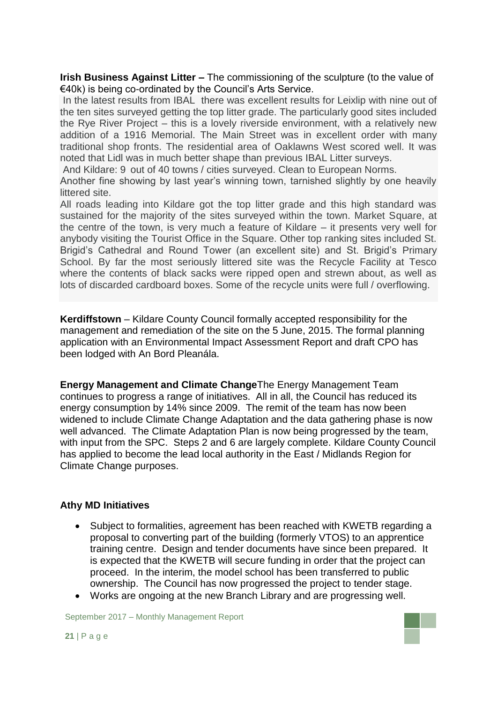**Irish Business Against Litter –** The commissioning of the sculpture (to the value of €40k) is being co-ordinated by the Council's Arts Service.

In the latest results from IBAL there was excellent results for Leixlip with nine out of the ten sites surveyed getting the top litter grade. The particularly good sites included the Rye River Project – this is a lovely riverside environment, with a relatively new addition of a 1916 Memorial. The Main Street was in excellent order with many traditional shop fronts. The residential area of Oaklawns West scored well. It was noted that Lidl was in much better shape than previous IBAL Litter surveys.

And Kildare: 9 out of 40 towns / cities surveyed. Clean to European Norms.

Another fine showing by last year's winning town, tarnished slightly by one heavily littered site.

All roads leading into Kildare got the top litter grade and this high standard was sustained for the majority of the sites surveyed within the town. Market Square, at the centre of the town, is very much a feature of Kildare – it presents very well for anybody visiting the Tourist Office in the Square. Other top ranking sites included St. Brigid's Cathedral and Round Tower (an excellent site) and St. Brigid's Primary School. By far the most seriously littered site was the Recycle Facility at Tesco where the contents of black sacks were ripped open and strewn about, as well as lots of discarded cardboard boxes. Some of the recycle units were full / overflowing.

**Kerdiffstown** – Kildare County Council formally accepted responsibility for the management and remediation of the site on the 5 June, 2015. The formal planning application with an Environmental Impact Assessment Report and draft CPO has been lodged with An Bord Pleanála.

**Energy Management and Climate Change**The Energy Management Team continues to progress a range of initiatives. All in all, the Council has reduced its energy consumption by 14% since 2009. The remit of the team has now been widened to include Climate Change Adaptation and the data gathering phase is now well advanced. The Climate Adaptation Plan is now being progressed by the team, with input from the SPC. Steps 2 and 6 are largely complete. Kildare County Council has applied to become the lead local authority in the East / Midlands Region for Climate Change purposes.

#### **Athy MD Initiatives**

- Subject to formalities, agreement has been reached with KWETB regarding a proposal to converting part of the building (formerly VTOS) to an apprentice training centre. Design and tender documents have since been prepared. It is expected that the KWETB will secure funding in order that the project can proceed. In the interim, the model school has been transferred to public ownership. The Council has now progressed the project to tender stage.
- Works are ongoing at the new Branch Library and are progressing well.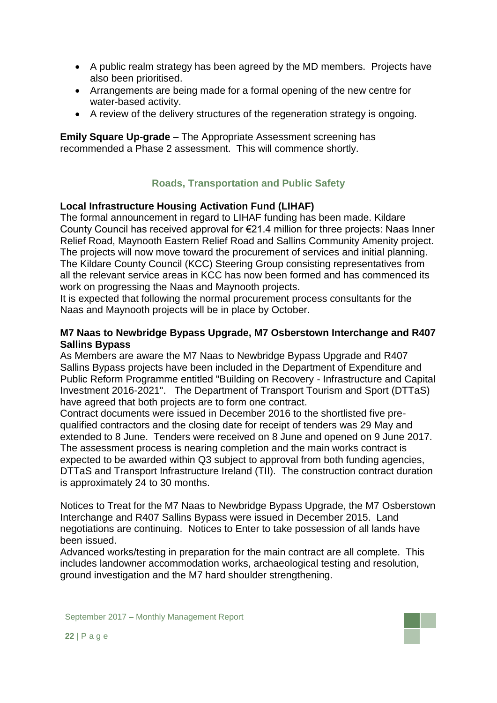- A public realm strategy has been agreed by the MD members. Projects have also been prioritised.
- Arrangements are being made for a formal opening of the new centre for water-based activity.
- A review of the delivery structures of the regeneration strategy is ongoing.

**Emily Square Up-grade** – The Appropriate Assessment screening has recommended a Phase 2 assessment. This will commence shortly.

# **Roads, Transportation and Public Safety**

### **Local Infrastructure Housing Activation Fund (LIHAF)**

The formal announcement in regard to LIHAF funding has been made. Kildare County Council has received approval for €21.4 million for three projects: Naas Inner Relief Road, Maynooth Eastern Relief Road and Sallins Community Amenity project. The projects will now move toward the procurement of services and initial planning. The Kildare County Council (KCC) Steering Group consisting representatives from all the relevant service areas in KCC has now been formed and has commenced its work on progressing the Naas and Maynooth projects.

It is expected that following the normal procurement process consultants for the Naas and Maynooth projects will be in place by October.

#### **M7 Naas to Newbridge Bypass Upgrade, M7 Osberstown Interchange and R407 Sallins Bypass**

As Members are aware the M7 Naas to Newbridge Bypass Upgrade and R407 Sallins Bypass projects have been included in the Department of Expenditure and Public Reform Programme entitled "Building on Recovery - Infrastructure and Capital Investment 2016-2021". The Department of Transport Tourism and Sport (DTTaS) have agreed that both projects are to form one contract.

Contract documents were issued in December 2016 to the shortlisted five prequalified contractors and the closing date for receipt of tenders was 29 May and extended to 8 June. Tenders were received on 8 June and opened on 9 June 2017. The assessment process is nearing completion and the main works contract is expected to be awarded within Q3 subject to approval from both funding agencies, DTTaS and Transport Infrastructure Ireland (TII). The construction contract duration is approximately 24 to 30 months.

Notices to Treat for the M7 Naas to Newbridge Bypass Upgrade, the M7 Osberstown Interchange and R407 Sallins Bypass were issued in December 2015. Land negotiations are continuing. Notices to Enter to take possession of all lands have been issued.

Advanced works/testing in preparation for the main contract are all complete. This includes landowner accommodation works, archaeological testing and resolution, ground investigation and the M7 hard shoulder strengthening.

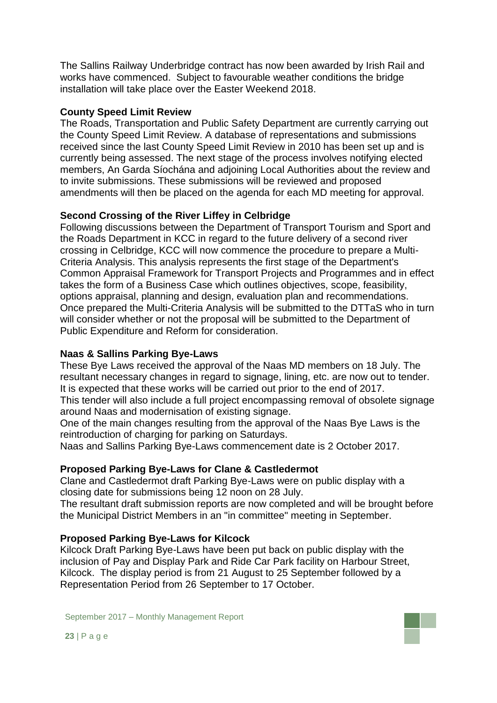The Sallins Railway Underbridge contract has now been awarded by Irish Rail and works have commenced. Subject to favourable weather conditions the bridge installation will take place over the Easter Weekend 2018.

#### **County Speed Limit Review**

The Roads, Transportation and Public Safety Department are currently carrying out the County Speed Limit Review. A database of representations and submissions received since the last County Speed Limit Review in 2010 has been set up and is currently being assessed. The next stage of the process involves notifying elected members, An Garda Síochána and adjoining Local Authorities about the review and to invite submissions. These submissions will be reviewed and proposed amendments will then be placed on the agenda for each MD meeting for approval.

### **Second Crossing of the River Liffey in Celbridge**

Following discussions between the Department of Transport Tourism and Sport and the Roads Department in KCC in regard to the future delivery of a second river crossing in Celbridge, KCC will now commence the procedure to prepare a Multi-Criteria Analysis. This analysis represents the first stage of the Department's Common Appraisal Framework for Transport Projects and Programmes and in effect takes the form of a Business Case which outlines objectives, scope, feasibility, options appraisal, planning and design, evaluation plan and recommendations. Once prepared the Multi-Criteria Analysis will be submitted to the DTTaS who in turn will consider whether or not the proposal will be submitted to the Department of Public Expenditure and Reform for consideration.

### **Naas & Sallins Parking Bye-Laws**

These Bye Laws received the approval of the Naas MD members on 18 July. The resultant necessary changes in regard to signage, lining, etc. are now out to tender. It is expected that these works will be carried out prior to the end of 2017. This tender will also include a full project encompassing removal of obsolete signage

around Naas and modernisation of existing signage.

One of the main changes resulting from the approval of the Naas Bye Laws is the reintroduction of charging for parking on Saturdays.

Naas and Sallins Parking Bye-Laws commencement date is 2 October 2017.

#### **Proposed Parking Bye-Laws for Clane & Castledermot**

Clane and Castledermot draft Parking Bye-Laws were on public display with a closing date for submissions being 12 noon on 28 July.

The resultant draft submission reports are now completed and will be brought before the Municipal District Members in an "in committee" meeting in September.

#### **Proposed Parking Bye-Laws for Kilcock**

Kilcock Draft Parking Bye-Laws have been put back on public display with the inclusion of Pay and Display Park and Ride Car Park facility on Harbour Street, Kilcock. The display period is from 21 August to 25 September followed by a Representation Period from 26 September to 17 October.

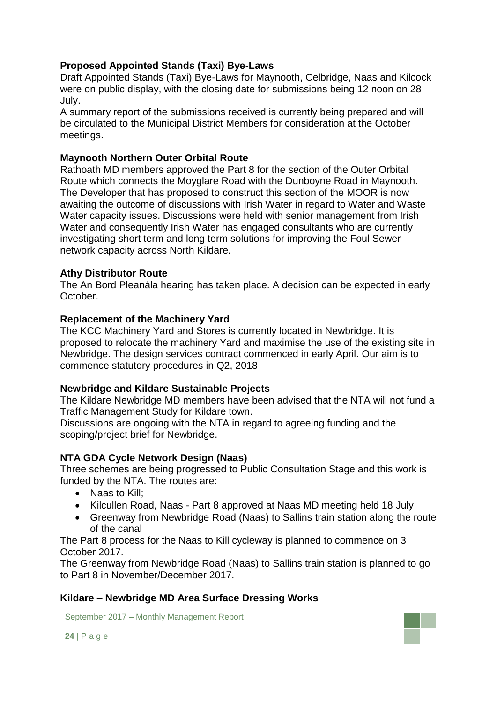### **Proposed Appointed Stands (Taxi) Bye-Laws**

Draft Appointed Stands (Taxi) Bye-Laws for Maynooth, Celbridge, Naas and Kilcock were on public display, with the closing date for submissions being 12 noon on 28 July.

A summary report of the submissions received is currently being prepared and will be circulated to the Municipal District Members for consideration at the October meetings.

### **Maynooth Northern Outer Orbital Route**

Rathoath MD members approved the Part 8 for the section of the Outer Orbital Route which connects the Moyglare Road with the Dunboyne Road in Maynooth. The Developer that has proposed to construct this section of the MOOR is now awaiting the outcome of discussions with Irish Water in regard to Water and Waste Water capacity issues. Discussions were held with senior management from Irish Water and consequently Irish Water has engaged consultants who are currently investigating short term and long term solutions for improving the Foul Sewer network capacity across North Kildare.

### **Athy Distributor Route**

The An Bord Pleanála hearing has taken place. A decision can be expected in early October.

### **Replacement of the Machinery Yard**

The KCC Machinery Yard and Stores is currently located in Newbridge. It is proposed to relocate the machinery Yard and maximise the use of the existing site in Newbridge. The design services contract commenced in early April. Our aim is to commence statutory procedures in Q2, 2018

#### **Newbridge and Kildare Sustainable Projects**

The Kildare Newbridge MD members have been advised that the NTA will not fund a Traffic Management Study for Kildare town.

Discussions are ongoing with the NTA in regard to agreeing funding and the scoping/project brief for Newbridge.

### **NTA GDA Cycle Network Design (Naas)**

Three schemes are being progressed to Public Consultation Stage and this work is funded by the NTA. The routes are:

- Naas to Kill:
- Kilcullen Road, Naas Part 8 approved at Naas MD meeting held 18 July
- Greenway from Newbridge Road (Naas) to Sallins train station along the route of the canal

The Part 8 process for the Naas to Kill cycleway is planned to commence on 3 October 2017.

The Greenway from Newbridge Road (Naas) to Sallins train station is planned to go to Part 8 in November/December 2017.

### **Kildare – Newbridge MD Area Surface Dressing Works**

September 2017 – Monthly Management Report

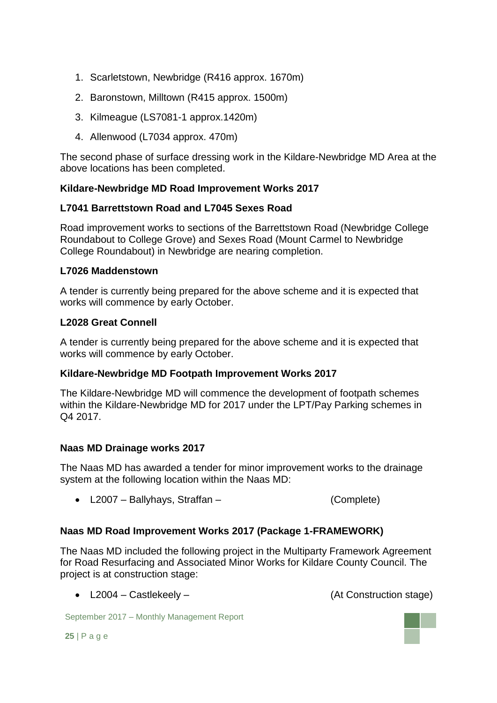- 1. Scarletstown, Newbridge (R416 approx. 1670m)
- 2. Baronstown, Milltown (R415 approx. 1500m)
- 3. Kilmeague (LS7081-1 approx.1420m)
- 4. Allenwood (L7034 approx. 470m)

The second phase of surface dressing work in the Kildare-Newbridge MD Area at the above locations has been completed.

### **Kildare-Newbridge MD Road Improvement Works 2017**

### **L7041 Barrettstown Road and L7045 Sexes Road**

Road improvement works to sections of the Barrettstown Road (Newbridge College Roundabout to College Grove) and Sexes Road (Mount Carmel to Newbridge College Roundabout) in Newbridge are nearing completion.

#### **L7026 Maddenstown**

A tender is currently being prepared for the above scheme and it is expected that works will commence by early October.

### **L2028 Great Connell**

A tender is currently being prepared for the above scheme and it is expected that works will commence by early October.

### **Kildare-Newbridge MD Footpath Improvement Works 2017**

The Kildare-Newbridge MD will commence the development of footpath schemes within the Kildare-Newbridge MD for 2017 under the LPT/Pay Parking schemes in Q4 2017.

#### **Naas MD Drainage works 2017**

The Naas MD has awarded a tender for minor improvement works to the drainage system at the following location within the Naas MD:

L2007 – Ballyhays, Straffan – (Complete)

### **Naas MD Road Improvement Works 2017 (Package 1-FRAMEWORK)**

The Naas MD included the following project in the Multiparty Framework Agreement for Road Resurfacing and Associated Minor Works for Kildare County Council. The project is at construction stage:

• L2004 – Castlekeely – (At Construction stage)

September 2017 – Monthly Management Report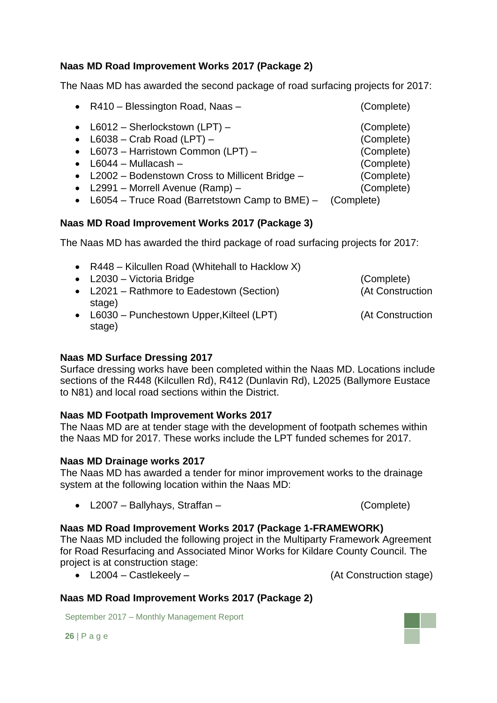### **Naas MD Road Improvement Works 2017 (Package 2)**

The Naas MD has awarded the second package of road surfacing projects for 2017:

| • $R410 - Blessington Road, Naas -$               | (Complete) |
|---------------------------------------------------|------------|
| • $L6012 - Sherlockstown (LPT) -$                 | (Complete) |
| • $L6038 - Crab Road (LPT) -$                     | (Complete) |
| • L6073 – Harristown Common (LPT) –               | (Complete) |
| $\bullet$ L6044 - Mullacash -                     | (Complete) |
| • L2002 – Bodenstown Cross to Millicent Bridge –  | (Complete) |
| • $L2991$ – Morrell Avenue (Ramp) –               | (Complete) |
| $\sim$ LCOE4 Truce Bood (Borratotown Comp to BME) | (nomplot)  |

L6054 – Truce Road (Barretstown Camp to BME) – (Complete)

### **Naas MD Road Improvement Works 2017 (Package 3)**

The Naas MD has awarded the third package of road surfacing projects for 2017:

• R448 – Kilcullen Road (Whitehall to Hacklow X) L2030 – Victoria Bridge (Complete) • L2021 – Rathmore to Eadestown (Section) (At Construction stage) L6030 – Punchestown Upper,Kilteel (LPT) (At Construction stage)

### **Naas MD Surface Dressing 2017**

Surface dressing works have been completed within the Naas MD. Locations include sections of the R448 (Kilcullen Rd), R412 (Dunlavin Rd), L2025 (Ballymore Eustace to N81) and local road sections within the District.

### **Naas MD Footpath Improvement Works 2017**

The Naas MD are at tender stage with the development of footpath schemes within the Naas MD for 2017. These works include the LPT funded schemes for 2017.

#### **Naas MD Drainage works 2017**

The Naas MD has awarded a tender for minor improvement works to the drainage system at the following location within the Naas MD:

L2007 – Ballyhays, Straffan – (Complete)

### **Naas MD Road Improvement Works 2017 (Package 1-FRAMEWORK)**

The Naas MD included the following project in the Multiparty Framework Agreement for Road Resurfacing and Associated Minor Works for Kildare County Council. The project is at construction stage:

L2004 – Castlekeely – (At Construction stage)

### **Naas MD Road Improvement Works 2017 (Package 2)**

September 2017 – Monthly Management Report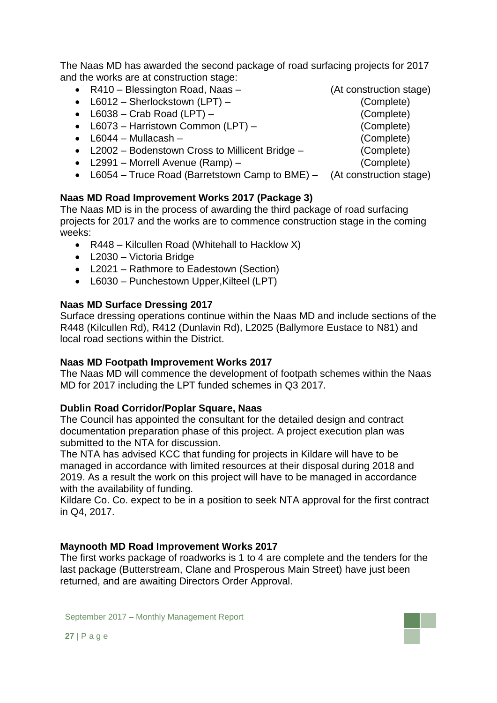The Naas MD has awarded the second package of road surfacing projects for 2017 and the works are at construction stage:

- R410 Blessington Road, Naas (At construction stage)
- L6012 Sherlockstown (LPT) (Complete)
- L6038 Crab Road (LPT) (Complete)
- L6073 Harristown Common (LPT) (Complete)
- L6044 Mullacash (Complete)
- L2002 Bodenstown Cross to Millicent Bridge (Complete)
- L2991 Morrell Avenue (Ramp) (Complete)
- L6054 Truce Road (Barretstown Camp to BME) (At construction stage)

### **Naas MD Road Improvement Works 2017 (Package 3)**

The Naas MD is in the process of awarding the third package of road surfacing projects for 2017 and the works are to commence construction stage in the coming weeks:

- R448 Kilcullen Road (Whitehall to Hacklow X)
- L2030 Victoria Bridge
- L2021 Rathmore to Eadestown (Section)
- L6030 Punchestown Upper,Kilteel (LPT)

### **Naas MD Surface Dressing 2017**

Surface dressing operations continue within the Naas MD and include sections of the R448 (Kilcullen Rd), R412 (Dunlavin Rd), L2025 (Ballymore Eustace to N81) and local road sections within the District.

#### **Naas MD Footpath Improvement Works 2017**

The Naas MD will commence the development of footpath schemes within the Naas MD for 2017 including the LPT funded schemes in Q3 2017.

#### **Dublin Road Corridor/Poplar Square, Naas**

The Council has appointed the consultant for the detailed design and contract documentation preparation phase of this project. A project execution plan was submitted to the NTA for discussion.

The NTA has advised KCC that funding for projects in Kildare will have to be managed in accordance with limited resources at their disposal during 2018 and 2019. As a result the work on this project will have to be managed in accordance with the availability of funding.

Kildare Co. Co. expect to be in a position to seek NTA approval for the first contract in Q4, 2017.

#### **Maynooth MD Road Improvement Works 2017**

The first works package of roadworks is 1 to 4 are complete and the tenders for the last package (Butterstream, Clane and Prosperous Main Street) have just been returned, and are awaiting Directors Order Approval.

- 
- 
-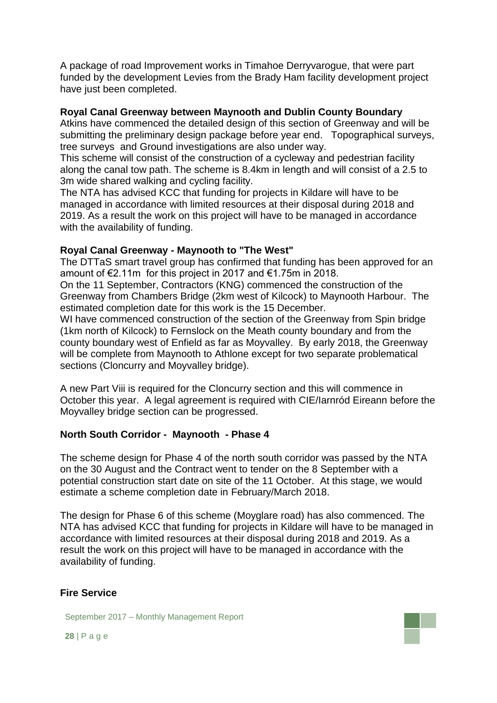A package of road Improvement works in Timahoe Derryvarogue, that were part funded by the development Levies from the Brady Ham facility development project have just been completed.

#### **Royal Canal Greenway between Maynooth and Dublin County Boundary**

Atkins have commenced the detailed design of this section of Greenway and will be submitting the preliminary design package before year end. Topographical surveys, tree surveys and Ground investigations are also under way.

This scheme will consist of the construction of a cycleway and pedestrian facility along the canal tow path. The scheme is 8.4km in length and will consist of a 2.5 to 3m wide shared walking and cycling facility.

The NTA has advised KCC that funding for projects in Kildare will have to be managed in accordance with limited resources at their disposal during 2018 and 2019. As a result the work on this project will have to be managed in accordance with the availability of funding.

#### **Royal Canal Greenway - Maynooth to "The West"**

The DTTaS smart travel group has confirmed that funding has been approved for an amount of €2.11m for this project in 2017 and €1.75m in 2018.

On the 11 September, Contractors (KNG) commenced the construction of the Greenway from Chambers Bridge (2km west of Kilcock) to Maynooth Harbour. The estimated completion date for this work is the 15 December.

WI have commenced construction of the section of the Greenway from Spin bridge (1km north of Kilcock) to Fernslock on the Meath county boundary and from the county boundary west of Enfield as far as Moyvalley. By early 2018, the Greenway will be complete from Maynooth to Athlone except for two separate problematical sections (Cloncurry and Moyvalley bridge).

A new Part Viii is required for the Cloncurry section and this will commence in October this year. A legal agreement is required with CIE/Iarnród Eireann before the Moyvalley bridge section can be progressed.

#### **North South Corridor - Maynooth - Phase 4**

The scheme design for Phase 4 of the north south corridor was passed by the NTA on the 30 August and the Contract went to tender on the 8 September with a potential construction start date on site of the 11 October. At this stage, we would estimate a scheme completion date in February/March 2018.

The design for Phase 6 of this scheme (Moyglare road) has also commenced. The NTA has advised KCC that funding for projects in Kildare will have to be managed in accordance with limited resources at their disposal during 2018 and 2019. As a result the work on this project will have to be managed in accordance with the availability of funding.

#### **Fire Service**

September 2017 – Monthly Management Report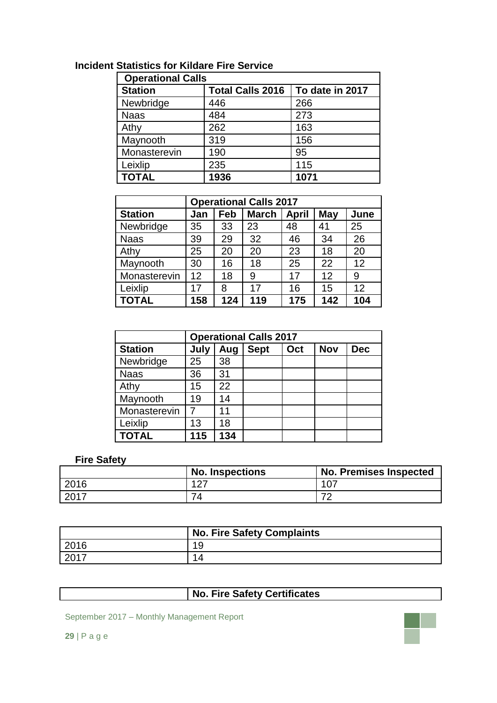| <b>Operational Calls</b> |                         |                 |  |  |
|--------------------------|-------------------------|-----------------|--|--|
| <b>Station</b>           | <b>Total Calls 2016</b> | To date in 2017 |  |  |
| Newbridge                | 446                     | 266             |  |  |
| <b>Naas</b>              | 484                     | 273             |  |  |
| Athy                     | 262                     | 163             |  |  |
| Maynooth                 | 319                     | 156             |  |  |
| Monasterevin             | 190                     | 95              |  |  |
| Leixlip                  | 235                     | 115             |  |  |
| <b>TOTAL</b>             | 1936                    | 1071            |  |  |

# **Incident Statistics for Kildare Fire Service**

| <b>Operational Calls 2017</b> |     |     |              |              |            |      |
|-------------------------------|-----|-----|--------------|--------------|------------|------|
| <b>Station</b>                | Jan | Feb | <b>March</b> | <b>April</b> | <b>May</b> | June |
| Newbridge                     | 35  | 33  | 23           | 48           | 41         | 25   |
| <b>Naas</b>                   | 39  | 29  | 32           | 46           | 34         | 26   |
| Athy                          | 25  | 20  | 20           | 23           | 18         | 20   |
| Maynooth                      | 30  | 16  | 18           | 25           | 22         | 12   |
| Monasterevin                  | 12  | 18  | 9            | 17           | 12         | 9    |
| Leixlip                       | 17  | 8   | 17           | 16           | 15         | 12   |
| <b>TOTAL</b>                  | 158 | 124 | 119          | 175          | 142        | 104  |

| <b>Operational Calls 2017</b> |      |     |             |     |            |            |
|-------------------------------|------|-----|-------------|-----|------------|------------|
| <b>Station</b>                | July | Aug | <b>Sept</b> | Oct | <b>Nov</b> | <b>Dec</b> |
| Newbridge                     | 25   | 38  |             |     |            |            |
| <b>Naas</b>                   | 36   | 31  |             |     |            |            |
| Athy                          | 15   | 22  |             |     |            |            |
| Maynooth                      | 19   | 14  |             |     |            |            |
| Monasterevin                  |      | 11  |             |     |            |            |
| Leixlip                       | 13   | 18  |             |     |            |            |
| <b>TOTAL</b>                  | 115  | 134 |             |     |            |            |

### **Fire Safety**

|      | <b>No. Inspections</b> | <b>No. Premises Inspected</b> |
|------|------------------------|-------------------------------|
| 2016 | 127                    | 107                           |
| 2017 | 74                     | $\overline{\phantom{a}}$      |

|      | <b>No. Fire Safety Complaints</b> |
|------|-----------------------------------|
| 2016 | 19                                |
| 2017 | 14                                |

# **No. Fire Safety Certificates**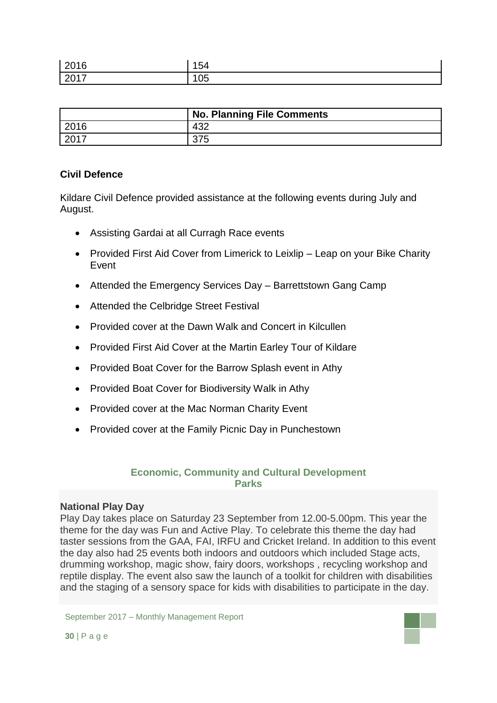| 2016  | 154 |
|-------|-----|
| 12017 | 105 |

|         | <b>No. Planning File Comments</b> |
|---------|-----------------------------------|
| 2016    | 432                               |
| $-2017$ | ن ، ن                             |

#### **Civil Defence**

Kildare Civil Defence provided assistance at the following events during July and August.

- Assisting Gardai at all Curragh Race events
- Provided First Aid Cover from Limerick to Leixlip Leap on your Bike Charity Event
- Attended the Emergency Services Day Barrettstown Gang Camp
- Attended the Celbridge Street Festival
- Provided cover at the Dawn Walk and Concert in Kilcullen
- Provided First Aid Cover at the Martin Earley Tour of Kildare
- Provided Boat Cover for the Barrow Splash event in Athy
- Provided Boat Cover for Biodiversity Walk in Athy
- Provided cover at the Mac Norman Charity Event
- Provided cover at the Family Picnic Day in Punchestown

### **Economic, Community and Cultural Development Parks**

#### **National Play Day**

Play Day takes place on Saturday 23 September from 12.00-5.00pm. This year the theme for the day was Fun and Active Play. To celebrate this theme the day had taster sessions from the GAA, FAI, IRFU and Cricket Ireland. In addition to this event the day also had 25 events both indoors and outdoors which included Stage acts, drumming workshop, magic show, fairy doors, workshops , recycling workshop and reptile display. The event also saw the launch of a toolkit for children with disabilities and the staging of a sensory space for kids with disabilities to participate in the day.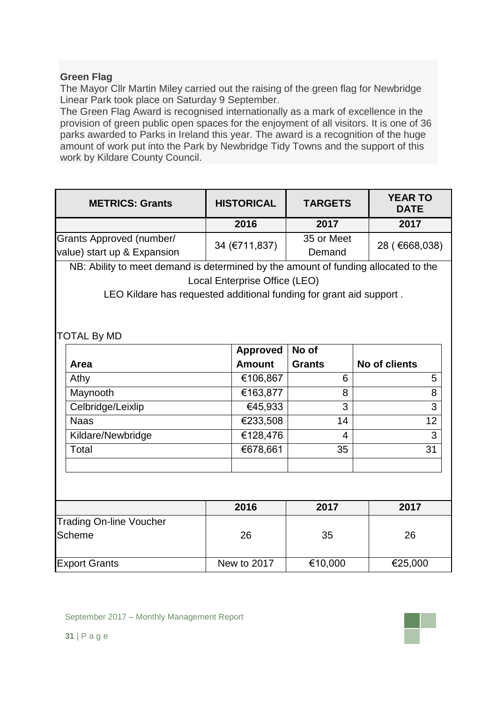### **Green Flag**

The Mayor Cllr Martin Miley carried out the raising of the green flag for Newbridge Linear Park took place on Saturday 9 September.

The Green Flag Award is recognised internationally as a mark of excellence in the provision of green public open spaces for the enjoyment of all visitors. It is one of 36 parks awarded to Parks in Ireland this year. The award is a recognition of the huge amount of work put into the Park by Newbridge Tidy Towns and the support of this work by Kildare County Council.

| <b>METRICS: Grants</b>                                  | <b>HISTORICAL</b> | <b>TARGETS</b>       | <b>YEAR TO</b><br><b>DATE</b> |
|---------------------------------------------------------|-------------------|----------------------|-------------------------------|
|                                                         | 2016              | 2017                 | 2017                          |
| Grants Approved (number/<br>value) start up & Expansion | 34 (€711,837)     | 35 or Meet<br>Demand | 28 (€668,038)                 |

NB: Ability to meet demand is determined by the amount of funding allocated to the Local Enterprise Office (LEO)

LEO Kildare has requested additional funding for grant aid support .

### TOTAL By MD

|                   | <b>Approved</b> | No of         |               |
|-------------------|-----------------|---------------|---------------|
| Area              | <b>Amount</b>   | <b>Grants</b> | No of clients |
| Athy              | €106,867        | 6             | 5             |
| Maynooth          | €163,877        | 8             | 8             |
| Celbridge/Leixlip | €45,933         | 3             | 3             |
| <b>Naas</b>       | €233,508        | 14            | 12            |
| Kildare/Newbridge | €128,476        | 4             | 3             |
| Total             | €678,661        | 35            | 31            |
|                   |                 |               |               |

|                                | 2016        | 2017    | 2017    |
|--------------------------------|-------------|---------|---------|
| <b>Trading On-line Voucher</b> |             |         |         |
| <b>Scheme</b>                  | 26          | 35      | 26      |
| <b>Export Grants</b>           | New to 2017 | €10,000 | €25,000 |

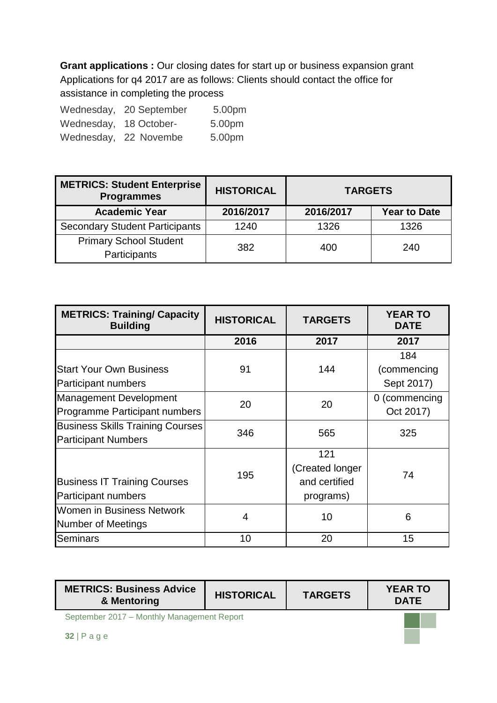**Grant applications :** Our closing dates for start up or business expansion grant Applications for q4 2017 are as follows: Clients should contact the office for assistance in completing the process

|                        | Wednesday, 20 September | 5.00pm |
|------------------------|-------------------------|--------|
| Wednesday, 18 October- |                         | 5.00pm |
|                        | Wednesday, 22 Novembe   | 5.00pm |

| <b>METRICS: Student Enterprise</b><br><b>Programmes</b> | <b>HISTORICAL</b> | <b>TARGETS</b> |                     |
|---------------------------------------------------------|-------------------|----------------|---------------------|
| <b>Academic Year</b>                                    | 2016/2017         | 2016/2017      | <b>Year to Date</b> |
| <b>Secondary Student Participants</b>                   | 1240              | 1326           | 1326                |
| <b>Primary School Student</b><br>Participants           | 382               | 400            | 240                 |

| <b>METRICS: Training/ Capacity</b><br><b>Building</b> | <b>HISTORICAL</b> | <b>TARGETS</b>  | <b>YEAR TO</b><br><b>DATE</b> |  |
|-------------------------------------------------------|-------------------|-----------------|-------------------------------|--|
|                                                       | 2016              | 2017            | 2017                          |  |
|                                                       |                   |                 | 184                           |  |
| <b>Start Your Own Business</b>                        | 91                | 144             | (commencing                   |  |
| Participant numbers                                   |                   |                 | Sept 2017)                    |  |
| <b>Management Development</b>                         | 20                | 20              | 0 (commencing                 |  |
| Programme Participant numbers                         |                   |                 | Oct 2017)                     |  |
| <b>Business Skills Training Courses</b>               | 346               | 565             | 325                           |  |
| <b>Participant Numbers</b>                            |                   |                 |                               |  |
|                                                       |                   | 121             |                               |  |
|                                                       | 195               | (Created longer | 74                            |  |
| <b>Business IT Training Courses</b>                   |                   | and certified   |                               |  |
| Participant numbers                                   |                   | programs)       |                               |  |
| Women in Business Network                             | 4                 | 10              | 6                             |  |
| <b>Number of Meetings</b>                             |                   |                 |                               |  |
| <b>Seminars</b>                                       | 10                | 20              | 15                            |  |

| <b>METRICS: Business Advice</b><br>& Mentoring | <b>HISTORICAL</b> | <b>TARGETS</b> | <b>YEAR TO</b><br><b>DATE</b> |  |  |
|------------------------------------------------|-------------------|----------------|-------------------------------|--|--|
| September 2017 - Monthly Management Report     |                   |                |                               |  |  |
| $32 \mid P \text{ a } q \text{ e}$             |                   |                |                               |  |  |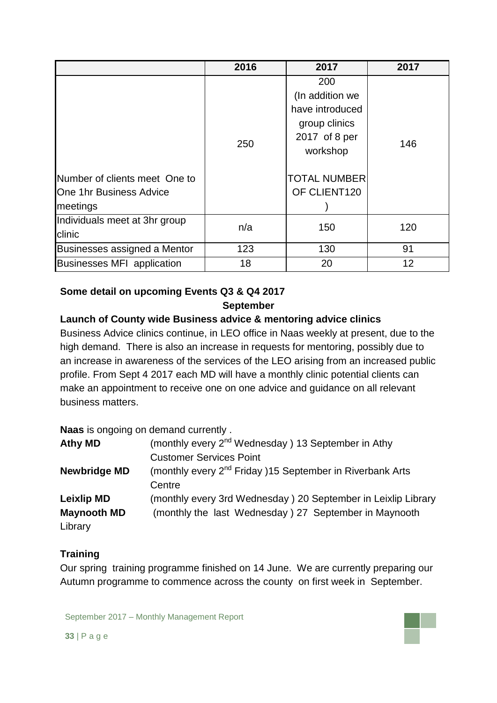|                                                                      | 2016 | 2017                                                                                                                           | 2017              |
|----------------------------------------------------------------------|------|--------------------------------------------------------------------------------------------------------------------------------|-------------------|
| Number of clients meet One to<br>One 1hr Business Advice<br>meetings | 250  | 200<br>(In addition we<br>have introduced<br>group clinics<br>2017 of 8 per<br>workshop<br><b>TOTAL NUMBER</b><br>OF CLIENT120 | 146               |
| Individuals meet at 3hr group<br>clinic                              | n/a  | 150                                                                                                                            | 120               |
| Businesses assigned a Mentor                                         | 123  | 130                                                                                                                            | 91                |
| <b>Businesses MFI application</b>                                    | 18   | 20                                                                                                                             | $12 \overline{ }$ |

# **Some detail on upcoming Events Q3 & Q4 2017**

### **September**

# **Launch of County wide Business advice & mentoring advice clinics**

Business Advice clinics continue, in LEO office in Naas weekly at present, due to the high demand. There is also an increase in requests for mentoring, possibly due to an increase in awareness of the services of the LEO arising from an increased public profile. From Sept 4 2017 each MD will have a monthly clinic potential clients can make an appointment to receive one on one advice and guidance on all relevant business matters.

**Naas** is ongoing on demand currently .

| <b>Athy MD</b>      | (monthly every 2 <sup>nd</sup> Wednesday) 13 September in Athy        |  |  |  |
|---------------------|-----------------------------------------------------------------------|--|--|--|
|                     | <b>Customer Services Point</b>                                        |  |  |  |
| <b>Newbridge MD</b> | (monthly every 2 <sup>nd</sup> Friday )15 September in Riverbank Arts |  |  |  |
|                     | Centre                                                                |  |  |  |
| <b>Leixlip MD</b>   | (monthly every 3rd Wednesday) 20 September in Leixlip Library         |  |  |  |
| <b>Maynooth MD</b>  | (monthly the last Wednesday) 27 September in Maynooth                 |  |  |  |
| Library             |                                                                       |  |  |  |

# **Training**

Our spring training programme finished on 14 June. We are currently preparing our Autumn programme to commence across the county on first week in September.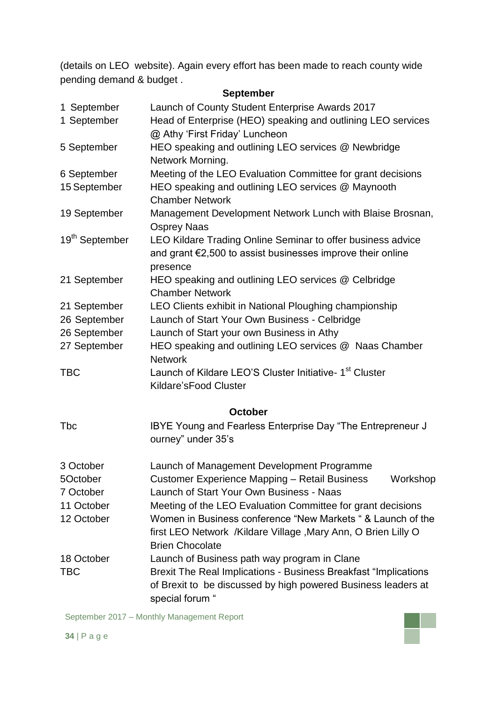(details on LEO website). Again every effort has been made to reach county wide pending demand & budget .

### **September**

| 1 September                                                        | Launch of County Student Enterprise Awards 2017                                                |  |  |  |  |  |
|--------------------------------------------------------------------|------------------------------------------------------------------------------------------------|--|--|--|--|--|
| 1 September                                                        | Head of Enterprise (HEO) speaking and outlining LEO services<br>@ Athy 'First Friday' Luncheon |  |  |  |  |  |
| HEO speaking and outlining LEO services @ Newbridge<br>5 September |                                                                                                |  |  |  |  |  |
|                                                                    | Network Morning.                                                                               |  |  |  |  |  |
| 6 September                                                        | Meeting of the LEO Evaluation Committee for grant decisions                                    |  |  |  |  |  |
| 15 September                                                       | HEO speaking and outlining LEO services @ Maynooth<br><b>Chamber Network</b>                   |  |  |  |  |  |
| 19 September                                                       | Management Development Network Lunch with Blaise Brosnan,                                      |  |  |  |  |  |
|                                                                    | <b>Osprey Naas</b>                                                                             |  |  |  |  |  |
| 19 <sup>th</sup> September                                         | LEO Kildare Trading Online Seminar to offer business advice                                    |  |  |  |  |  |
|                                                                    | and grant €2,500 to assist businesses improve their online                                     |  |  |  |  |  |
|                                                                    | presence                                                                                       |  |  |  |  |  |
| 21 September                                                       | HEO speaking and outlining LEO services @ Celbridge                                            |  |  |  |  |  |
|                                                                    | <b>Chamber Network</b>                                                                         |  |  |  |  |  |
| 21 September                                                       | LEO Clients exhibit in National Ploughing championship                                         |  |  |  |  |  |
| 26 September                                                       | Launch of Start Your Own Business - Celbridge                                                  |  |  |  |  |  |
| 26 September                                                       | Launch of Start your own Business in Athy                                                      |  |  |  |  |  |
| 27 September                                                       | HEO speaking and outlining LEO services @ Naas Chamber                                         |  |  |  |  |  |
|                                                                    | <b>Network</b>                                                                                 |  |  |  |  |  |
| <b>TBC</b>                                                         | Launch of Kildare LEO'S Cluster Initiative- 1 <sup>st</sup> Cluster                            |  |  |  |  |  |
|                                                                    | Kildare's Food Cluster                                                                         |  |  |  |  |  |
|                                                                    |                                                                                                |  |  |  |  |  |
|                                                                    | <b>October</b>                                                                                 |  |  |  |  |  |
| <b>T</b> bc                                                        | IBYE Young and Fearless Enterprise Day "The Entrepreneur J                                     |  |  |  |  |  |
|                                                                    | ourney" under 35's                                                                             |  |  |  |  |  |
| 3 October                                                          | Launch of Management Development Programme                                                     |  |  |  |  |  |
| 5October                                                           | <b>Customer Experience Mapping - Retail Business</b><br>Workshop                               |  |  |  |  |  |
| 7 October                                                          | Launch of Start Your Own Business - Naas                                                       |  |  |  |  |  |
| 11 October                                                         | Meeting of the LEO Evaluation Committee for grant decisions                                    |  |  |  |  |  |
| 12 October                                                         | Women in Business conference "New Markets " & Launch of the                                    |  |  |  |  |  |
|                                                                    | first LEO Network / Kildare Village, Mary Ann, O Brien Lilly O                                 |  |  |  |  |  |
|                                                                    | <b>Brien Chocolate</b>                                                                         |  |  |  |  |  |
| 18 October                                                         | Launch of Business path way program in Clane                                                   |  |  |  |  |  |
| TBC                                                                | Brexit The Real Implications - Business Breakfast "Implications                                |  |  |  |  |  |
|                                                                    |                                                                                                |  |  |  |  |  |
|                                                                    | of Brexit to be discussed by high powered Business leaders at                                  |  |  |  |  |  |
|                                                                    | special forum "                                                                                |  |  |  |  |  |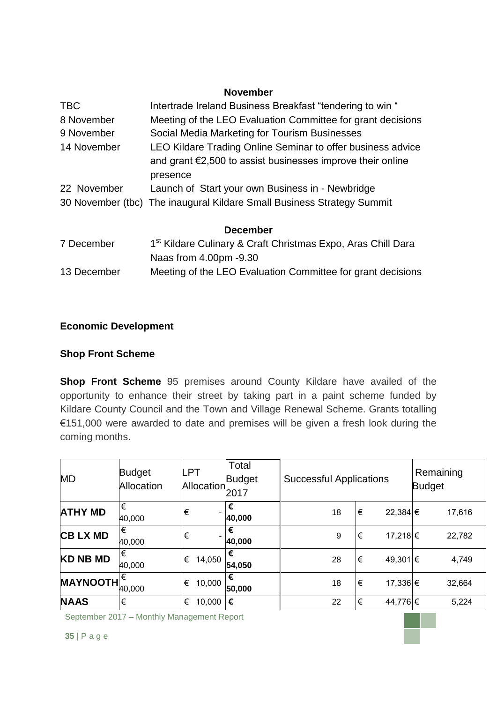#### **November**

| <b>TBC</b>  | Intertrade Ireland Business Breakfast "tendering to win "                                                                       |
|-------------|---------------------------------------------------------------------------------------------------------------------------------|
| 8 November  | Meeting of the LEO Evaluation Committee for grant decisions                                                                     |
| 9 November  | Social Media Marketing for Tourism Businesses                                                                                   |
| 14 November | LEO Kildare Trading Online Seminar to offer business advice                                                                     |
|             | and grant $\epsilon$ 2,500 to assist businesses improve their online                                                            |
|             | presence                                                                                                                        |
| 22 November | Launch of Start your own Business in - Newbridge                                                                                |
|             | 30 November (tbc) The inaugural Kildare Small Business Strategy Summit                                                          |
|             | <b>December</b>                                                                                                                 |
| 7 December  | 1 <sup>st</sup> Kildare Culinary & Craft Christmas Expo, Aras Chill Dara<br>$M_{\rm OOO}$ from $\Lambda$ $\Omega$ 0 $\sim$ 0.20 |

Naas from 4.00pm -9.30 13 December Meeting of the LEO Evaluation Committee for grant decisions

# **Economic Development**

# **Shop Front Scheme**

**Shop Front Scheme** 95 premises around County Kildare have availed of the opportunity to enhance their street by taking part in a paint scheme funded by Kildare County Council and the Town and Village Renewal Scheme. Grants totalling €151,000 were awarded to date and premises will be given a fresh look during the coming months.

| <b>MD</b>       | <b>Budget</b><br>Allocation | <b>LPT</b><br>Allocation | Total<br><b>Budget</b><br>2017 | <b>Successful Applications</b> |    |          | Remaining<br><b>Budget</b> |        |
|-----------------|-----------------------------|--------------------------|--------------------------------|--------------------------------|----|----------|----------------------------|--------|
| <b>ATHY MD</b>  | €<br>40,000                 | €                        | €<br>40,000                    | 18                             | €  | 22,384 € |                            | 17,616 |
| <b>CBLXMD</b>   | €<br>40,000                 | €                        | €<br>40,000                    | 9                              | €  | 17,218 € |                            | 22,782 |
| <b>KD NB MD</b> | €<br>40,000                 | €<br>14,050              | €<br>54,050                    | 28                             | ∣€ | 49,301 € |                            | 4,749  |
| <b>MAYNOOTH</b> | €<br>40,000                 | €<br>10,000              | €<br>50,000                    | 18                             | €  | 17,336 € |                            | 32,664 |
| <b>NAAS</b>     | €                           | €<br>10,000              | l€                             | 22                             | €  | 44,776 € |                            | 5,224  |